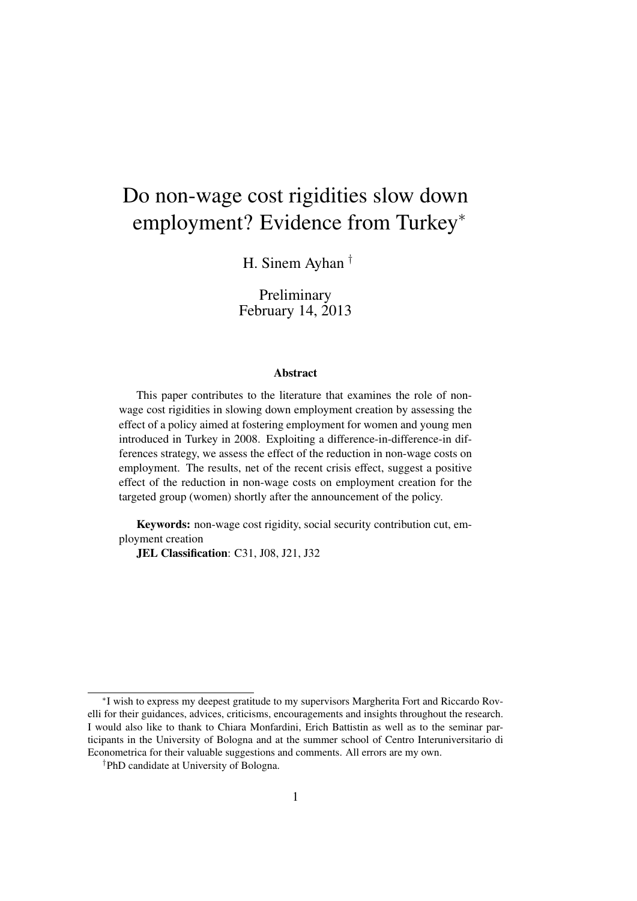# Do non-wage cost rigidities slow down employment? Evidence from Turkey<sup>∗</sup>

H. Sinem Ayhan †

Preliminary February 14, 2013

#### Abstract

This paper contributes to the literature that examines the role of nonwage cost rigidities in slowing down employment creation by assessing the effect of a policy aimed at fostering employment for women and young men introduced in Turkey in 2008. Exploiting a difference-in-difference-in differences strategy, we assess the effect of the reduction in non-wage costs on employment. The results, net of the recent crisis effect, suggest a positive effect of the reduction in non-wage costs on employment creation for the targeted group (women) shortly after the announcement of the policy.

Keywords: non-wage cost rigidity, social security contribution cut, employment creation

JEL Classification: C31, J08, J21, J32

<sup>∗</sup> I wish to express my deepest gratitude to my supervisors Margherita Fort and Riccardo Rovelli for their guidances, advices, criticisms, encouragements and insights throughout the research. I would also like to thank to Chiara Monfardini, Erich Battistin as well as to the seminar participants in the University of Bologna and at the summer school of Centro Interuniversitario di Econometrica for their valuable suggestions and comments. All errors are my own.

<sup>†</sup>PhD candidate at University of Bologna.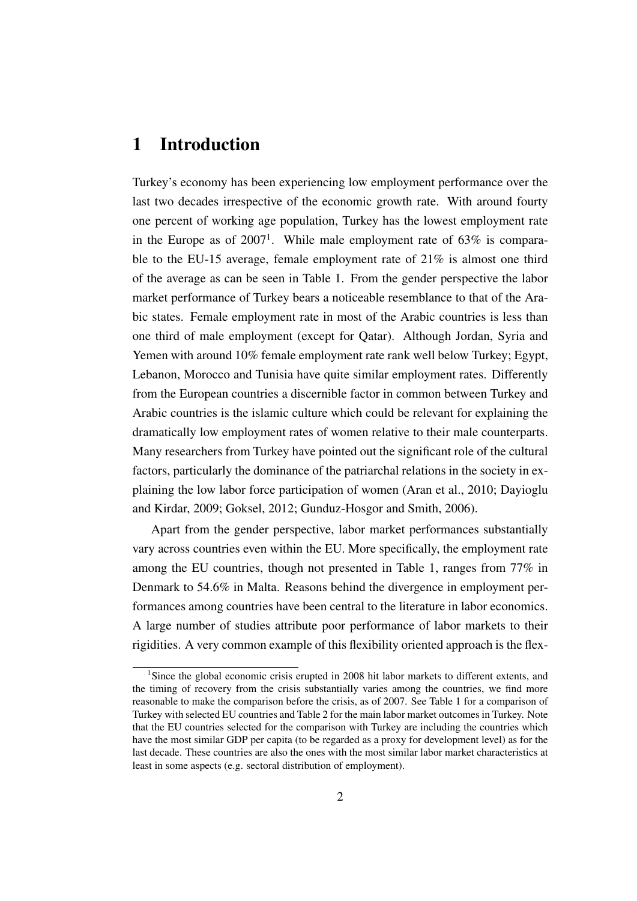# 1 Introduction

Turkey's economy has been experiencing low employment performance over the last two decades irrespective of the economic growth rate. With around fourty one percent of working age population, Turkey has the lowest employment rate in the Europe as of  $2007<sup>1</sup>$ . While male employment rate of 63% is comparable to the EU-15 average, female employment rate of 21% is almost one third of the average as can be seen in Table 1. From the gender perspective the labor market performance of Turkey bears a noticeable resemblance to that of the Arabic states. Female employment rate in most of the Arabic countries is less than one third of male employment (except for Qatar). Although Jordan, Syria and Yemen with around 10% female employment rate rank well below Turkey; Egypt, Lebanon, Morocco and Tunisia have quite similar employment rates. Differently from the European countries a discernible factor in common between Turkey and Arabic countries is the islamic culture which could be relevant for explaining the dramatically low employment rates of women relative to their male counterparts. Many researchers from Turkey have pointed out the significant role of the cultural factors, particularly the dominance of the patriarchal relations in the society in explaining the low labor force participation of women (Aran et al., 2010; Dayioglu and Kirdar, 2009; Goksel, 2012; Gunduz-Hosgor and Smith, 2006).

Apart from the gender perspective, labor market performances substantially vary across countries even within the EU. More specifically, the employment rate among the EU countries, though not presented in Table 1, ranges from 77% in Denmark to 54.6% in Malta. Reasons behind the divergence in employment performances among countries have been central to the literature in labor economics. A large number of studies attribute poor performance of labor markets to their rigidities. A very common example of this flexibility oriented approach is the flex-

<sup>&</sup>lt;sup>1</sup>Since the global economic crisis erupted in 2008 hit labor markets to different extents, and the timing of recovery from the crisis substantially varies among the countries, we find more reasonable to make the comparison before the crisis, as of 2007. See Table 1 for a comparison of Turkey with selected EU countries and Table 2 for the main labor market outcomes in Turkey. Note that the EU countries selected for the comparison with Turkey are including the countries which have the most similar GDP per capita (to be regarded as a proxy for development level) as for the last decade. These countries are also the ones with the most similar labor market characteristics at least in some aspects (e.g. sectoral distribution of employment).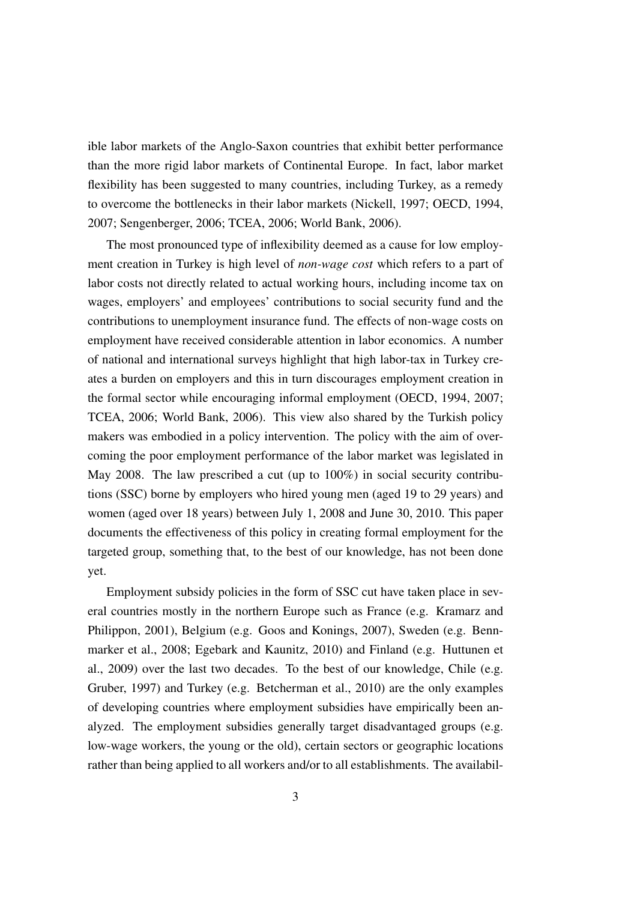ible labor markets of the Anglo-Saxon countries that exhibit better performance than the more rigid labor markets of Continental Europe. In fact, labor market flexibility has been suggested to many countries, including Turkey, as a remedy to overcome the bottlenecks in their labor markets (Nickell, 1997; OECD, 1994, 2007; Sengenberger, 2006; TCEA, 2006; World Bank, 2006).

The most pronounced type of inflexibility deemed as a cause for low employment creation in Turkey is high level of *non-wage cost* which refers to a part of labor costs not directly related to actual working hours, including income tax on wages, employers' and employees' contributions to social security fund and the contributions to unemployment insurance fund. The effects of non-wage costs on employment have received considerable attention in labor economics. A number of national and international surveys highlight that high labor-tax in Turkey creates a burden on employers and this in turn discourages employment creation in the formal sector while encouraging informal employment (OECD, 1994, 2007; TCEA, 2006; World Bank, 2006). This view also shared by the Turkish policy makers was embodied in a policy intervention. The policy with the aim of overcoming the poor employment performance of the labor market was legislated in May 2008. The law prescribed a cut (up to 100%) in social security contributions (SSC) borne by employers who hired young men (aged 19 to 29 years) and women (aged over 18 years) between July 1, 2008 and June 30, 2010. This paper documents the effectiveness of this policy in creating formal employment for the targeted group, something that, to the best of our knowledge, has not been done yet.

Employment subsidy policies in the form of SSC cut have taken place in several countries mostly in the northern Europe such as France (e.g. Kramarz and Philippon, 2001), Belgium (e.g. Goos and Konings, 2007), Sweden (e.g. Bennmarker et al., 2008; Egebark and Kaunitz, 2010) and Finland (e.g. Huttunen et al., 2009) over the last two decades. To the best of our knowledge, Chile (e.g. Gruber, 1997) and Turkey (e.g. Betcherman et al., 2010) are the only examples of developing countries where employment subsidies have empirically been analyzed. The employment subsidies generally target disadvantaged groups (e.g. low-wage workers, the young or the old), certain sectors or geographic locations rather than being applied to all workers and/or to all establishments. The availabil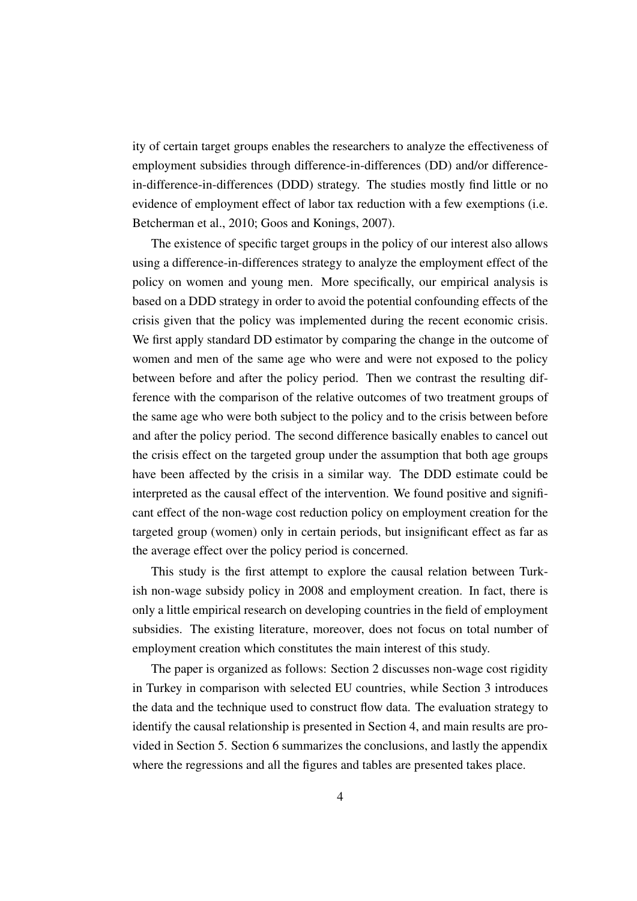ity of certain target groups enables the researchers to analyze the effectiveness of employment subsidies through difference-in-differences (DD) and/or differencein-difference-in-differences (DDD) strategy. The studies mostly find little or no evidence of employment effect of labor tax reduction with a few exemptions (i.e. Betcherman et al., 2010; Goos and Konings, 2007).

The existence of specific target groups in the policy of our interest also allows using a difference-in-differences strategy to analyze the employment effect of the policy on women and young men. More specifically, our empirical analysis is based on a DDD strategy in order to avoid the potential confounding effects of the crisis given that the policy was implemented during the recent economic crisis. We first apply standard DD estimator by comparing the change in the outcome of women and men of the same age who were and were not exposed to the policy between before and after the policy period. Then we contrast the resulting difference with the comparison of the relative outcomes of two treatment groups of the same age who were both subject to the policy and to the crisis between before and after the policy period. The second difference basically enables to cancel out the crisis effect on the targeted group under the assumption that both age groups have been affected by the crisis in a similar way. The DDD estimate could be interpreted as the causal effect of the intervention. We found positive and significant effect of the non-wage cost reduction policy on employment creation for the targeted group (women) only in certain periods, but insignificant effect as far as the average effect over the policy period is concerned.

This study is the first attempt to explore the causal relation between Turkish non-wage subsidy policy in 2008 and employment creation. In fact, there is only a little empirical research on developing countries in the field of employment subsidies. The existing literature, moreover, does not focus on total number of employment creation which constitutes the main interest of this study.

The paper is organized as follows: Section 2 discusses non-wage cost rigidity in Turkey in comparison with selected EU countries, while Section 3 introduces the data and the technique used to construct flow data. The evaluation strategy to identify the causal relationship is presented in Section 4, and main results are provided in Section 5. Section 6 summarizes the conclusions, and lastly the appendix where the regressions and all the figures and tables are presented takes place.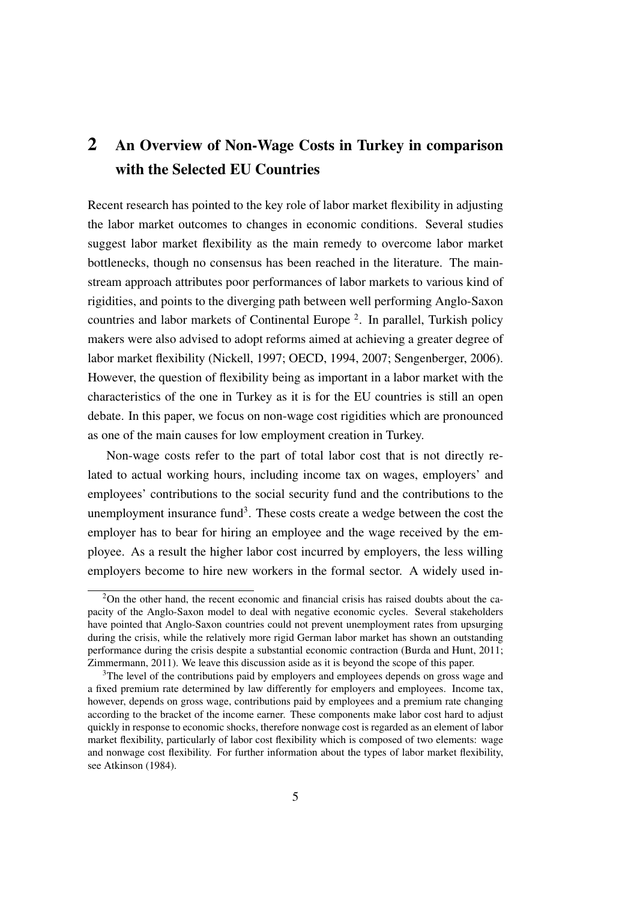# 2 An Overview of Non-Wage Costs in Turkey in comparison with the Selected EU Countries

Recent research has pointed to the key role of labor market flexibility in adjusting the labor market outcomes to changes in economic conditions. Several studies suggest labor market flexibility as the main remedy to overcome labor market bottlenecks, though no consensus has been reached in the literature. The mainstream approach attributes poor performances of labor markets to various kind of rigidities, and points to the diverging path between well performing Anglo-Saxon countries and labor markets of Continental Europe <sup>2</sup> . In parallel, Turkish policy makers were also advised to adopt reforms aimed at achieving a greater degree of labor market flexibility (Nickell, 1997; OECD, 1994, 2007; Sengenberger, 2006). However, the question of flexibility being as important in a labor market with the characteristics of the one in Turkey as it is for the EU countries is still an open debate. In this paper, we focus on non-wage cost rigidities which are pronounced as one of the main causes for low employment creation in Turkey.

Non-wage costs refer to the part of total labor cost that is not directly related to actual working hours, including income tax on wages, employers' and employees' contributions to the social security fund and the contributions to the unemployment insurance fund<sup>3</sup>. These costs create a wedge between the cost the employer has to bear for hiring an employee and the wage received by the employee. As a result the higher labor cost incurred by employers, the less willing employers become to hire new workers in the formal sector. A widely used in-

<sup>&</sup>lt;sup>2</sup>On the other hand, the recent economic and financial crisis has raised doubts about the capacity of the Anglo-Saxon model to deal with negative economic cycles. Several stakeholders have pointed that Anglo-Saxon countries could not prevent unemployment rates from upsurging during the crisis, while the relatively more rigid German labor market has shown an outstanding performance during the crisis despite a substantial economic contraction (Burda and Hunt, 2011; Zimmermann, 2011). We leave this discussion aside as it is beyond the scope of this paper.

<sup>&</sup>lt;sup>3</sup>The level of the contributions paid by employers and employees depends on gross wage and a fixed premium rate determined by law differently for employers and employees. Income tax, however, depends on gross wage, contributions paid by employees and a premium rate changing according to the bracket of the income earner. These components make labor cost hard to adjust quickly in response to economic shocks, therefore nonwage cost is regarded as an element of labor market flexibility, particularly of labor cost flexibility which is composed of two elements: wage and nonwage cost flexibility. For further information about the types of labor market flexibility, see Atkinson (1984).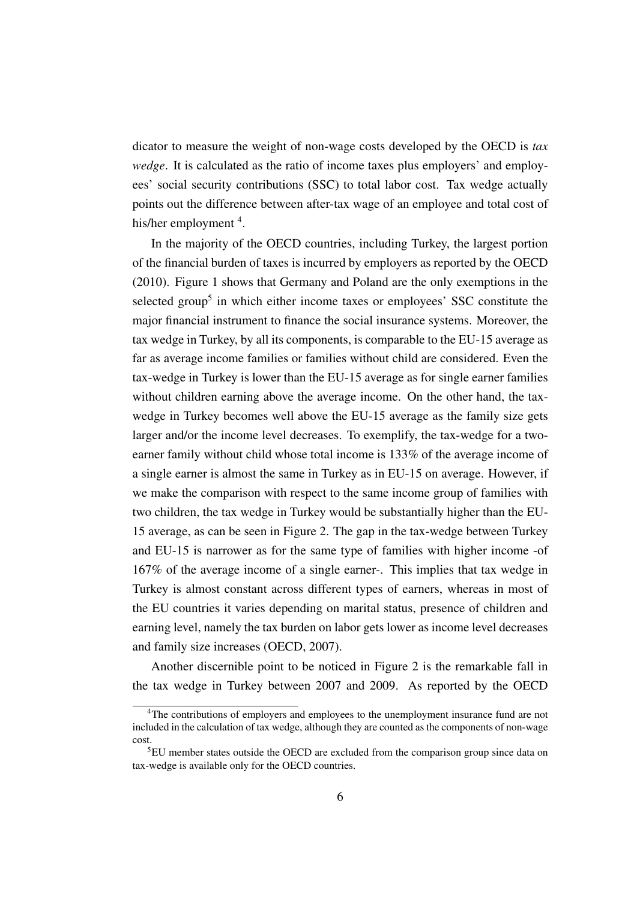dicator to measure the weight of non-wage costs developed by the OECD is *tax wedge*. It is calculated as the ratio of income taxes plus employers' and employees' social security contributions (SSC) to total labor cost. Tax wedge actually points out the difference between after-tax wage of an employee and total cost of his/her employment <sup>4</sup>.

In the majority of the OECD countries, including Turkey, the largest portion of the financial burden of taxes is incurred by employers as reported by the OECD (2010). Figure 1 shows that Germany and Poland are the only exemptions in the selected group<sup>5</sup> in which either income taxes or employees' SSC constitute the major financial instrument to finance the social insurance systems. Moreover, the tax wedge in Turkey, by all its components, is comparable to the EU-15 average as far as average income families or families without child are considered. Even the tax-wedge in Turkey is lower than the EU-15 average as for single earner families without children earning above the average income. On the other hand, the taxwedge in Turkey becomes well above the EU-15 average as the family size gets larger and/or the income level decreases. To exemplify, the tax-wedge for a twoearner family without child whose total income is 133% of the average income of a single earner is almost the same in Turkey as in EU-15 on average. However, if we make the comparison with respect to the same income group of families with two children, the tax wedge in Turkey would be substantially higher than the EU-15 average, as can be seen in Figure 2. The gap in the tax-wedge between Turkey and EU-15 is narrower as for the same type of families with higher income -of 167% of the average income of a single earner-. This implies that tax wedge in Turkey is almost constant across different types of earners, whereas in most of the EU countries it varies depending on marital status, presence of children and earning level, namely the tax burden on labor gets lower as income level decreases and family size increases (OECD, 2007).

Another discernible point to be noticed in Figure 2 is the remarkable fall in the tax wedge in Turkey between 2007 and 2009. As reported by the OECD

<sup>&</sup>lt;sup>4</sup>The contributions of employers and employees to the unemployment insurance fund are not included in the calculation of tax wedge, although they are counted as the components of non-wage cost.

<sup>5</sup>EU member states outside the OECD are excluded from the comparison group since data on tax-wedge is available only for the OECD countries.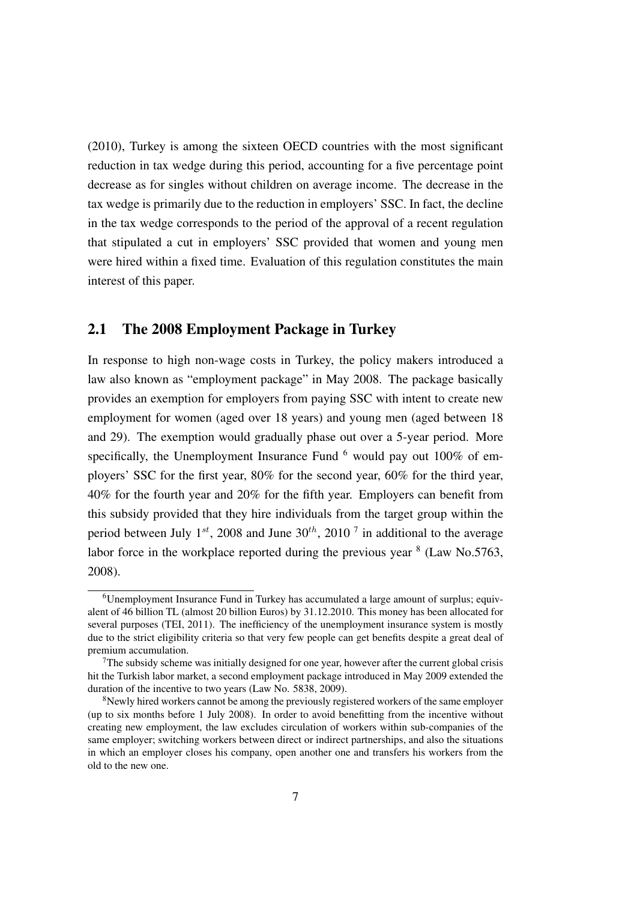(2010), Turkey is among the sixteen OECD countries with the most significant reduction in tax wedge during this period, accounting for a five percentage point decrease as for singles without children on average income. The decrease in the tax wedge is primarily due to the reduction in employers' SSC. In fact, the decline in the tax wedge corresponds to the period of the approval of a recent regulation that stipulated a cut in employers' SSC provided that women and young men were hired within a fixed time. Evaluation of this regulation constitutes the main interest of this paper.

#### 2.1 The 2008 Employment Package in Turkey

In response to high non-wage costs in Turkey, the policy makers introduced a law also known as "employment package" in May 2008. The package basically provides an exemption for employers from paying SSC with intent to create new employment for women (aged over 18 years) and young men (aged between 18 and 29). The exemption would gradually phase out over a 5-year period. More specifically, the Unemployment Insurance Fund  $<sup>6</sup>$  would pay out 100% of em-</sup> ployers' SSC for the first year, 80% for the second year, 60% for the third year, 40% for the fourth year and 20% for the fifth year. Employers can benefit from this subsidy provided that they hire individuals from the target group within the period between July  $1^{st}$ , 2008 and June  $30^{th}$ , 2010<sup>7</sup> in additional to the average labor force in the workplace reported during the previous year  $8$  (Law No.5763, 2008).

<sup>&</sup>lt;sup>6</sup>Unemployment Insurance Fund in Turkey has accumulated a large amount of surplus; equivalent of 46 billion TL (almost 20 billion Euros) by 31.12.2010. This money has been allocated for several purposes (TEI, 2011). The inefficiency of the unemployment insurance system is mostly due to the strict eligibility criteria so that very few people can get benefits despite a great deal of premium accumulation.

 $<sup>7</sup>$ The subsidy scheme was initially designed for one year, however after the current global crisis</sup> hit the Turkish labor market, a second employment package introduced in May 2009 extended the duration of the incentive to two years (Law No. 5838, 2009).

<sup>&</sup>lt;sup>8</sup>Newly hired workers cannot be among the previously registered workers of the same employer (up to six months before 1 July 2008). In order to avoid benefitting from the incentive without creating new employment, the law excludes circulation of workers within sub-companies of the same employer; switching workers between direct or indirect partnerships, and also the situations in which an employer closes his company, open another one and transfers his workers from the old to the new one.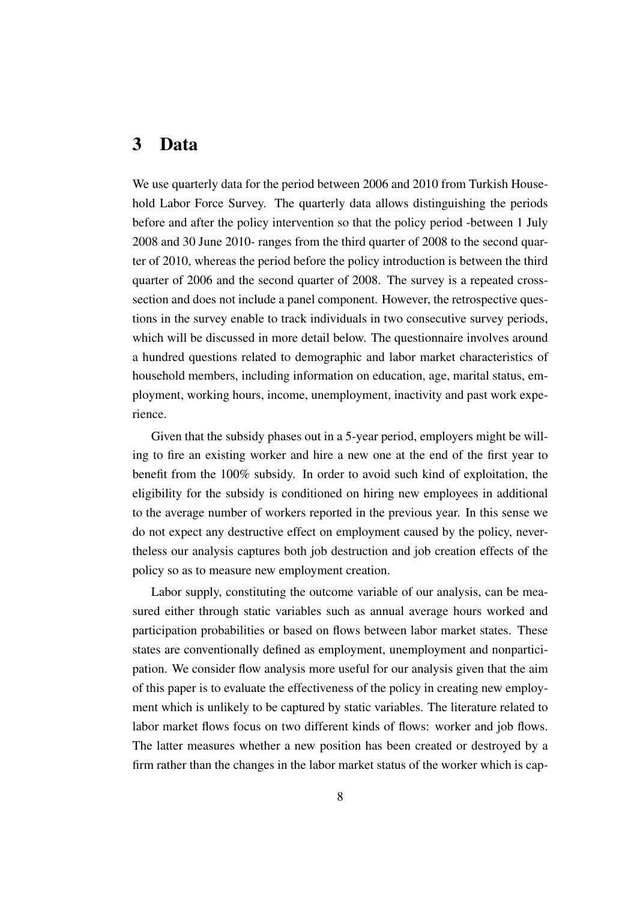### 3 Data

We use quarterly data for the period between 2006 and 2010 from Turkish Household Labor Force Survey. The quarterly data allows distinguishing the periods before and after the policy intervention so that the policy period -between 1 July 2008 and 30 June 2010- ranges from the third quarter of 2008 to the second quarter of 2010, whereas the period before the policy introduction is between the third quarter of 2006 and the second quarter of 2008. The survey is a repeated crosssection and does not include a panel component. However, the retrospective questions in the survey enable to track individuals in two consecutive survey periods, which will be discussed in more detail below. The questionnaire involves around a hundred questions related to demographic and labor market characteristics of household members, including information on education, age, marital status, employment, working hours, income, unemployment, inactivity and past work experience.

Given that the subsidy phases out in a 5-year period, employers might be willing to fire an existing worker and hire a new one at the end of the first year to benefit from the 100% subsidy. In order to avoid such kind of exploitation, the eligibility for the subsidy is conditioned on hiring new employees in additional to the average number of workers reported in the previous year. In this sense we do not expect any destructive effect on employment caused by the policy, nevertheless our analysis captures both job destruction and job creation effects of the policy so as to measure new employment creation.

Labor supply, constituting the outcome variable of our analysis, can be measured either through static variables such as annual average hours worked and participation probabilities or based on flows between labor market states. These states are conventionally defined as employment, unemployment and nonparticipation. We consider flow analysis more useful for our analysis given that the aim of this paper is to evaluate the effectiveness of the policy in creating new employment which is unlikely to be captured by static variables. The literature related to labor market flows focus on two different kinds of flows: worker and job flows. The latter measures whether a new position has been created or destroyed by a firm rather than the changes in the labor market status of the worker which is cap-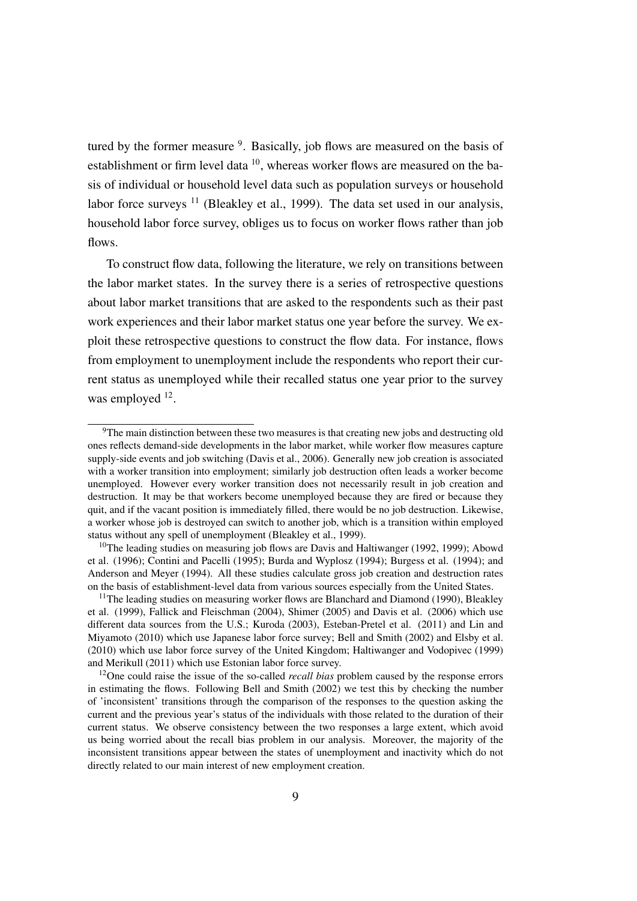tured by the former measure <sup>9</sup>. Basically, job flows are measured on the basis of establishment or firm level data <sup>10</sup>, whereas worker flows are measured on the basis of individual or household level data such as population surveys or household labor force surveys  $11$  (Bleakley et al., 1999). The data set used in our analysis, household labor force survey, obliges us to focus on worker flows rather than job flows.

To construct flow data, following the literature, we rely on transitions between the labor market states. In the survey there is a series of retrospective questions about labor market transitions that are asked to the respondents such as their past work experiences and their labor market status one year before the survey. We exploit these retrospective questions to construct the flow data. For instance, flows from employment to unemployment include the respondents who report their current status as unemployed while their recalled status one year prior to the survey was employed <sup>12</sup>.

 $9$ The main distinction between these two measures is that creating new jobs and destructing old ones reflects demand-side developments in the labor market, while worker flow measures capture supply-side events and job switching (Davis et al., 2006). Generally new job creation is associated with a worker transition into employment; similarly job destruction often leads a worker become unemployed. However every worker transition does not necessarily result in job creation and destruction. It may be that workers become unemployed because they are fired or because they quit, and if the vacant position is immediately filled, there would be no job destruction. Likewise, a worker whose job is destroyed can switch to another job, which is a transition within employed status without any spell of unemployment (Bleakley et al., 1999).

<sup>&</sup>lt;sup>10</sup>The leading studies on measuring job flows are Davis and Haltiwanger (1992, 1999); Abowd et al. (1996); Contini and Pacelli (1995); Burda and Wyplosz (1994); Burgess et al. (1994); and Anderson and Meyer (1994). All these studies calculate gross job creation and destruction rates on the basis of establishment-level data from various sources especially from the United States.

<sup>&</sup>lt;sup>11</sup>The leading studies on measuring worker flows are Blanchard and Diamond (1990), Bleakley et al. (1999), Fallick and Fleischman (2004), Shimer (2005) and Davis et al. (2006) which use different data sources from the U.S.; Kuroda (2003), Esteban-Pretel et al. (2011) and Lin and Miyamoto (2010) which use Japanese labor force survey; Bell and Smith (2002) and Elsby et al. (2010) which use labor force survey of the United Kingdom; Haltiwanger and Vodopivec (1999) and Merikull (2011) which use Estonian labor force survey.

<sup>12</sup>One could raise the issue of the so-called *recall bias* problem caused by the response errors in estimating the flows. Following Bell and Smith (2002) we test this by checking the number of 'inconsistent' transitions through the comparison of the responses to the question asking the current and the previous year's status of the individuals with those related to the duration of their current status. We observe consistency between the two responses a large extent, which avoid us being worried about the recall bias problem in our analysis. Moreover, the majority of the inconsistent transitions appear between the states of unemployment and inactivity which do not directly related to our main interest of new employment creation.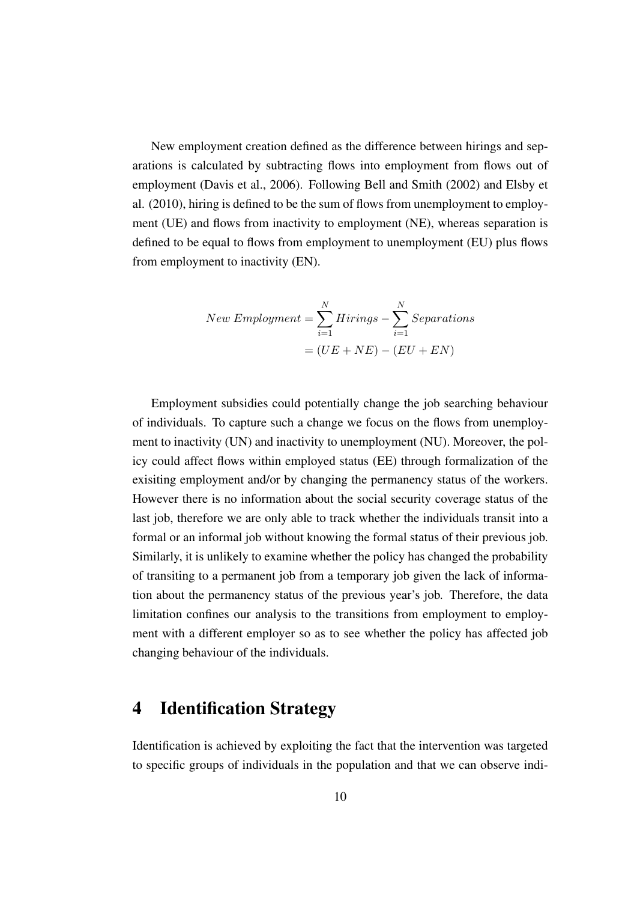New employment creation defined as the difference between hirings and separations is calculated by subtracting flows into employment from flows out of employment (Davis et al., 2006). Following Bell and Smith (2002) and Elsby et al. (2010), hiring is defined to be the sum of flows from unemployment to employment (UE) and flows from inactivity to employment (NE), whereas separation is defined to be equal to flows from employment to unemployment (EU) plus flows from employment to inactivity (EN).

$$
New\,Emplogment = \sum_{i=1}^{N} Hirings - \sum_{i=1}^{N} Separations
$$

$$
= (UE + NE) - (EU + EN)
$$

Employment subsidies could potentially change the job searching behaviour of individuals. To capture such a change we focus on the flows from unemployment to inactivity (UN) and inactivity to unemployment (NU). Moreover, the policy could affect flows within employed status (EE) through formalization of the exisiting employment and/or by changing the permanency status of the workers. However there is no information about the social security coverage status of the last job, therefore we are only able to track whether the individuals transit into a formal or an informal job without knowing the formal status of their previous job. Similarly, it is unlikely to examine whether the policy has changed the probability of transiting to a permanent job from a temporary job given the lack of information about the permanency status of the previous year's job. Therefore, the data limitation confines our analysis to the transitions from employment to employment with a different employer so as to see whether the policy has affected job changing behaviour of the individuals.

# 4 Identification Strategy

Identification is achieved by exploiting the fact that the intervention was targeted to specific groups of individuals in the population and that we can observe indi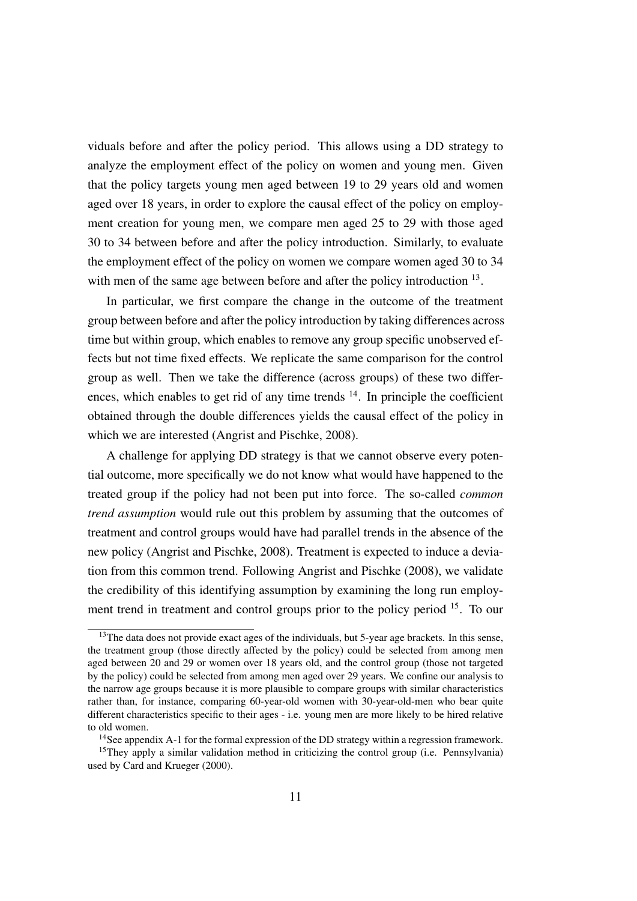viduals before and after the policy period. This allows using a DD strategy to analyze the employment effect of the policy on women and young men. Given that the policy targets young men aged between 19 to 29 years old and women aged over 18 years, in order to explore the causal effect of the policy on employment creation for young men, we compare men aged 25 to 29 with those aged 30 to 34 between before and after the policy introduction. Similarly, to evaluate the employment effect of the policy on women we compare women aged 30 to 34 with men of the same age between before and after the policy introduction <sup>13</sup>.

In particular, we first compare the change in the outcome of the treatment group between before and after the policy introduction by taking differences across time but within group, which enables to remove any group specific unobserved effects but not time fixed effects. We replicate the same comparison for the control group as well. Then we take the difference (across groups) of these two differences, which enables to get rid of any time trends  $14$ . In principle the coefficient obtained through the double differences yields the causal effect of the policy in which we are interested (Angrist and Pischke, 2008).

A challenge for applying DD strategy is that we cannot observe every potential outcome, more specifically we do not know what would have happened to the treated group if the policy had not been put into force. The so-called *common trend assumption* would rule out this problem by assuming that the outcomes of treatment and control groups would have had parallel trends in the absence of the new policy (Angrist and Pischke, 2008). Treatment is expected to induce a deviation from this common trend. Following Angrist and Pischke (2008), we validate the credibility of this identifying assumption by examining the long run employment trend in treatment and control groups prior to the policy period <sup>15</sup>. To our

<sup>&</sup>lt;sup>13</sup>The data does not provide exact ages of the individuals, but 5-year age brackets. In this sense, the treatment group (those directly affected by the policy) could be selected from among men aged between 20 and 29 or women over 18 years old, and the control group (those not targeted by the policy) could be selected from among men aged over 29 years. We confine our analysis to the narrow age groups because it is more plausible to compare groups with similar characteristics rather than, for instance, comparing 60-year-old women with 30-year-old-men who bear quite different characteristics specific to their ages - i.e. young men are more likely to be hired relative to old women.

<sup>&</sup>lt;sup>14</sup>See appendix A-1 for the formal expression of the DD strategy within a regression framework.

<sup>&</sup>lt;sup>15</sup>They apply a similar validation method in criticizing the control group (i.e. Pennsylvania) used by Card and Krueger (2000).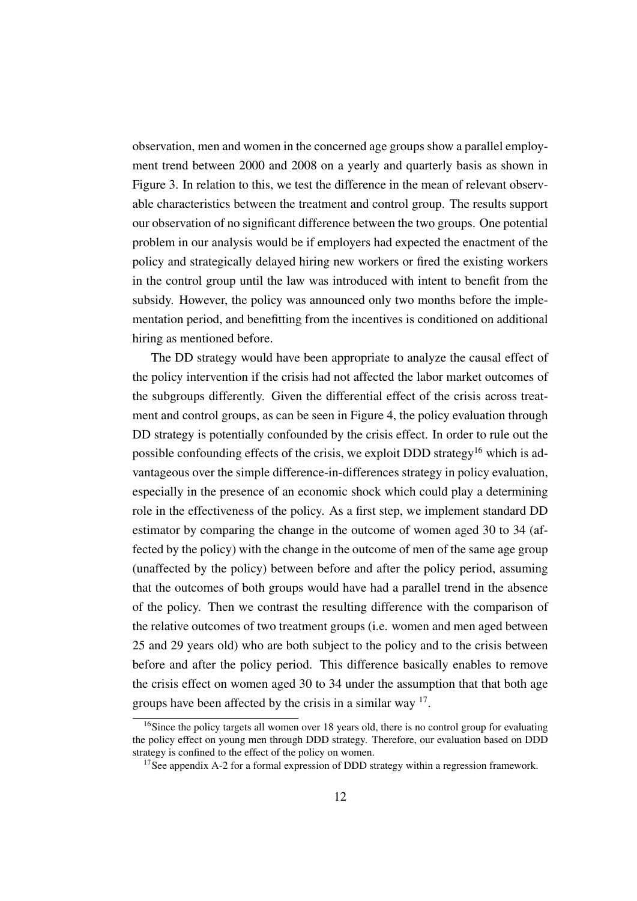observation, men and women in the concerned age groups show a parallel employment trend between 2000 and 2008 on a yearly and quarterly basis as shown in Figure 3. In relation to this, we test the difference in the mean of relevant observable characteristics between the treatment and control group. The results support our observation of no significant difference between the two groups. One potential problem in our analysis would be if employers had expected the enactment of the policy and strategically delayed hiring new workers or fired the existing workers in the control group until the law was introduced with intent to benefit from the subsidy. However, the policy was announced only two months before the implementation period, and benefitting from the incentives is conditioned on additional hiring as mentioned before.

The DD strategy would have been appropriate to analyze the causal effect of the policy intervention if the crisis had not affected the labor market outcomes of the subgroups differently. Given the differential effect of the crisis across treatment and control groups, as can be seen in Figure 4, the policy evaluation through DD strategy is potentially confounded by the crisis effect. In order to rule out the possible confounding effects of the crisis, we exploit DDD strategy<sup>16</sup> which is advantageous over the simple difference-in-differences strategy in policy evaluation, especially in the presence of an economic shock which could play a determining role in the effectiveness of the policy. As a first step, we implement standard DD estimator by comparing the change in the outcome of women aged 30 to 34 (affected by the policy) with the change in the outcome of men of the same age group (unaffected by the policy) between before and after the policy period, assuming that the outcomes of both groups would have had a parallel trend in the absence of the policy. Then we contrast the resulting difference with the comparison of the relative outcomes of two treatment groups (i.e. women and men aged between 25 and 29 years old) who are both subject to the policy and to the crisis between before and after the policy period. This difference basically enables to remove the crisis effect on women aged 30 to 34 under the assumption that that both age groups have been affected by the crisis in a similar way  $17$ .

<sup>&</sup>lt;sup>16</sup>Since the policy targets all women over 18 years old, there is no control group for evaluating the policy effect on young men through DDD strategy. Therefore, our evaluation based on DDD strategy is confined to the effect of the policy on women.

<sup>&</sup>lt;sup>17</sup>See appendix A-2 for a formal expression of DDD strategy within a regression framework.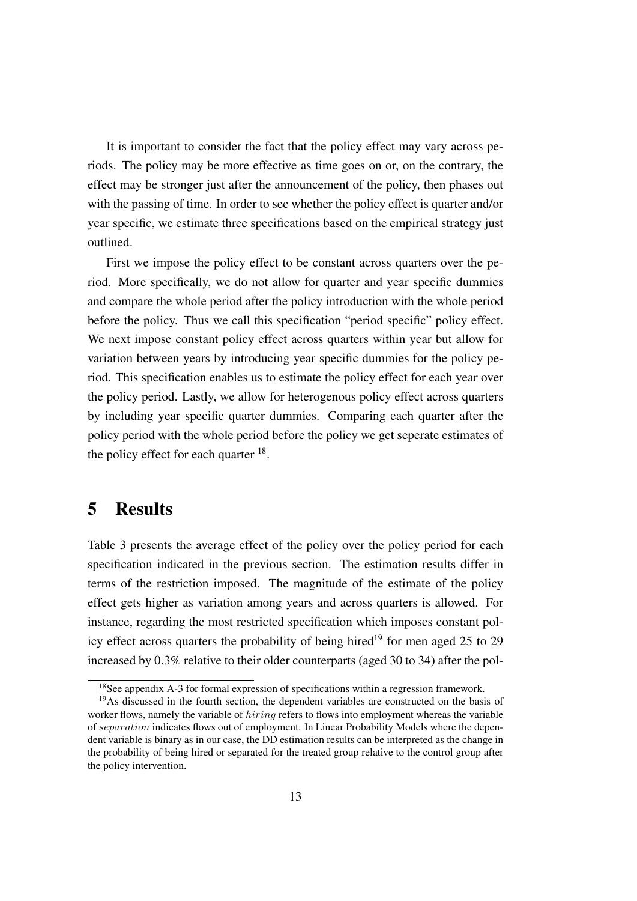It is important to consider the fact that the policy effect may vary across periods. The policy may be more effective as time goes on or, on the contrary, the effect may be stronger just after the announcement of the policy, then phases out with the passing of time. In order to see whether the policy effect is quarter and/or year specific, we estimate three specifications based on the empirical strategy just outlined.

First we impose the policy effect to be constant across quarters over the period. More specifically, we do not allow for quarter and year specific dummies and compare the whole period after the policy introduction with the whole period before the policy. Thus we call this specification "period specific" policy effect. We next impose constant policy effect across quarters within year but allow for variation between years by introducing year specific dummies for the policy period. This specification enables us to estimate the policy effect for each year over the policy period. Lastly, we allow for heterogenous policy effect across quarters by including year specific quarter dummies. Comparing each quarter after the policy period with the whole period before the policy we get seperate estimates of the policy effect for each quarter <sup>18</sup>.

### 5 Results

Table 3 presents the average effect of the policy over the policy period for each specification indicated in the previous section. The estimation results differ in terms of the restriction imposed. The magnitude of the estimate of the policy effect gets higher as variation among years and across quarters is allowed. For instance, regarding the most restricted specification which imposes constant policy effect across quarters the probability of being hired<sup>19</sup> for men aged 25 to 29 increased by 0.3% relative to their older counterparts (aged 30 to 34) after the pol-

<sup>&</sup>lt;sup>18</sup>See appendix A-3 for formal expression of specifications within a regression framework.

<sup>&</sup>lt;sup>19</sup>As discussed in the fourth section, the dependent variables are constructed on the basis of worker flows, namely the variable of *hiring* refers to flows into employment whereas the variable of separation indicates flows out of employment. In Linear Probability Models where the dependent variable is binary as in our case, the DD estimation results can be interpreted as the change in the probability of being hired or separated for the treated group relative to the control group after the policy intervention.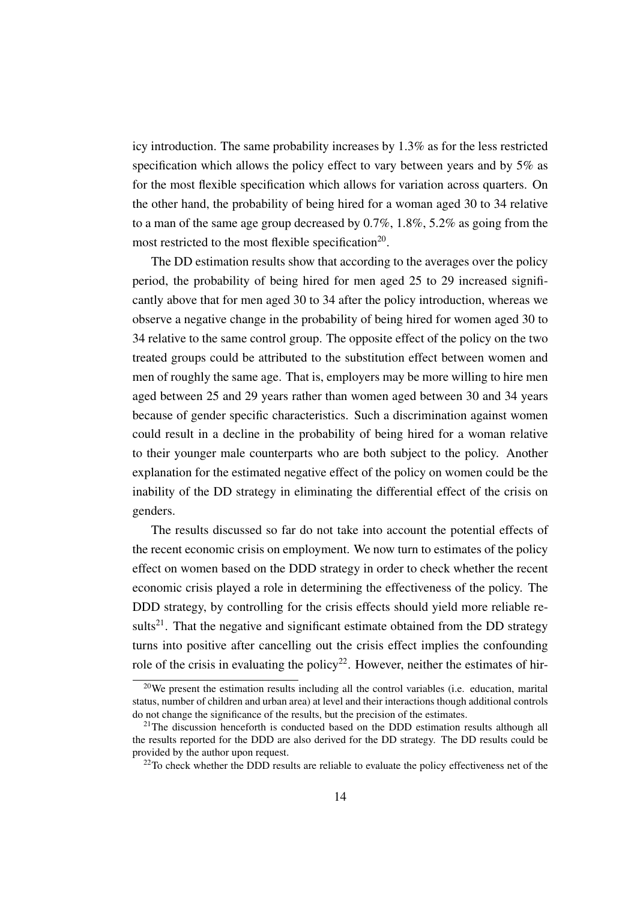icy introduction. The same probability increases by 1.3% as for the less restricted specification which allows the policy effect to vary between years and by 5% as for the most flexible specification which allows for variation across quarters. On the other hand, the probability of being hired for a woman aged 30 to 34 relative to a man of the same age group decreased by 0.7%, 1.8%, 5.2% as going from the most restricted to the most flexible specification<sup>20</sup>.

The DD estimation results show that according to the averages over the policy period, the probability of being hired for men aged 25 to 29 increased significantly above that for men aged 30 to 34 after the policy introduction, whereas we observe a negative change in the probability of being hired for women aged 30 to 34 relative to the same control group. The opposite effect of the policy on the two treated groups could be attributed to the substitution effect between women and men of roughly the same age. That is, employers may be more willing to hire men aged between 25 and 29 years rather than women aged between 30 and 34 years because of gender specific characteristics. Such a discrimination against women could result in a decline in the probability of being hired for a woman relative to their younger male counterparts who are both subject to the policy. Another explanation for the estimated negative effect of the policy on women could be the inability of the DD strategy in eliminating the differential effect of the crisis on genders.

The results discussed so far do not take into account the potential effects of the recent economic crisis on employment. We now turn to estimates of the policy effect on women based on the DDD strategy in order to check whether the recent economic crisis played a role in determining the effectiveness of the policy. The DDD strategy, by controlling for the crisis effects should yield more reliable results<sup>21</sup>. That the negative and significant estimate obtained from the DD strategy turns into positive after cancelling out the crisis effect implies the confounding role of the crisis in evaluating the policy<sup>22</sup>. However, neither the estimates of hir-

 $20$ We present the estimation results including all the control variables (i.e. education, marital status, number of children and urban area) at level and their interactions though additional controls do not change the significance of the results, but the precision of the estimates.

<sup>&</sup>lt;sup>21</sup>The discussion henceforth is conducted based on the DDD estimation results although all the results reported for the DDD are also derived for the DD strategy. The DD results could be provided by the author upon request.

<sup>&</sup>lt;sup>22</sup>To check whether the DDD results are reliable to evaluate the policy effectiveness net of the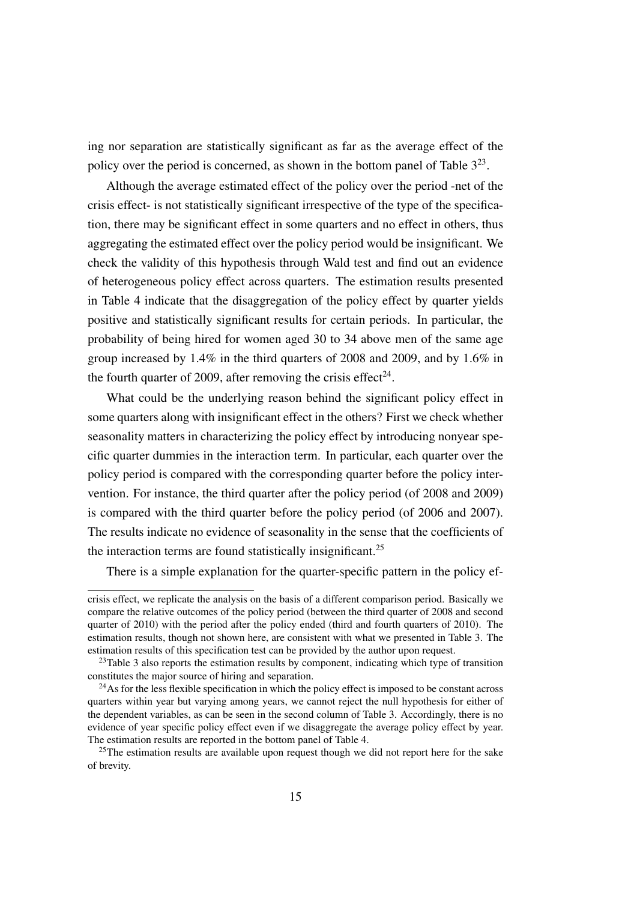ing nor separation are statistically significant as far as the average effect of the policy over the period is concerned, as shown in the bottom panel of Table  $3^{23}$ .

Although the average estimated effect of the policy over the period -net of the crisis effect- is not statistically significant irrespective of the type of the specification, there may be significant effect in some quarters and no effect in others, thus aggregating the estimated effect over the policy period would be insignificant. We check the validity of this hypothesis through Wald test and find out an evidence of heterogeneous policy effect across quarters. The estimation results presented in Table 4 indicate that the disaggregation of the policy effect by quarter yields positive and statistically significant results for certain periods. In particular, the probability of being hired for women aged 30 to 34 above men of the same age group increased by 1.4% in the third quarters of 2008 and 2009, and by 1.6% in the fourth quarter of 2009, after removing the crisis effect<sup>24</sup>.

What could be the underlying reason behind the significant policy effect in some quarters along with insignificant effect in the others? First we check whether seasonality matters in characterizing the policy effect by introducing nonyear specific quarter dummies in the interaction term. In particular, each quarter over the policy period is compared with the corresponding quarter before the policy intervention. For instance, the third quarter after the policy period (of 2008 and 2009) is compared with the third quarter before the policy period (of 2006 and 2007). The results indicate no evidence of seasonality in the sense that the coefficients of the interaction terms are found statistically insignificant.<sup>25</sup>

There is a simple explanation for the quarter-specific pattern in the policy ef-

crisis effect, we replicate the analysis on the basis of a different comparison period. Basically we compare the relative outcomes of the policy period (between the third quarter of 2008 and second quarter of 2010) with the period after the policy ended (third and fourth quarters of 2010). The estimation results, though not shown here, are consistent with what we presented in Table 3. The estimation results of this specification test can be provided by the author upon request.

 $^{23}$ Table 3 also reports the estimation results by component, indicating which type of transition constitutes the major source of hiring and separation.

<sup>&</sup>lt;sup>24</sup>As for the less flexible specification in which the policy effect is imposed to be constant across quarters within year but varying among years, we cannot reject the null hypothesis for either of the dependent variables, as can be seen in the second column of Table 3. Accordingly, there is no evidence of year specific policy effect even if we disaggregate the average policy effect by year. The estimation results are reported in the bottom panel of Table 4.

<sup>&</sup>lt;sup>25</sup>The estimation results are available upon request though we did not report here for the sake of brevity.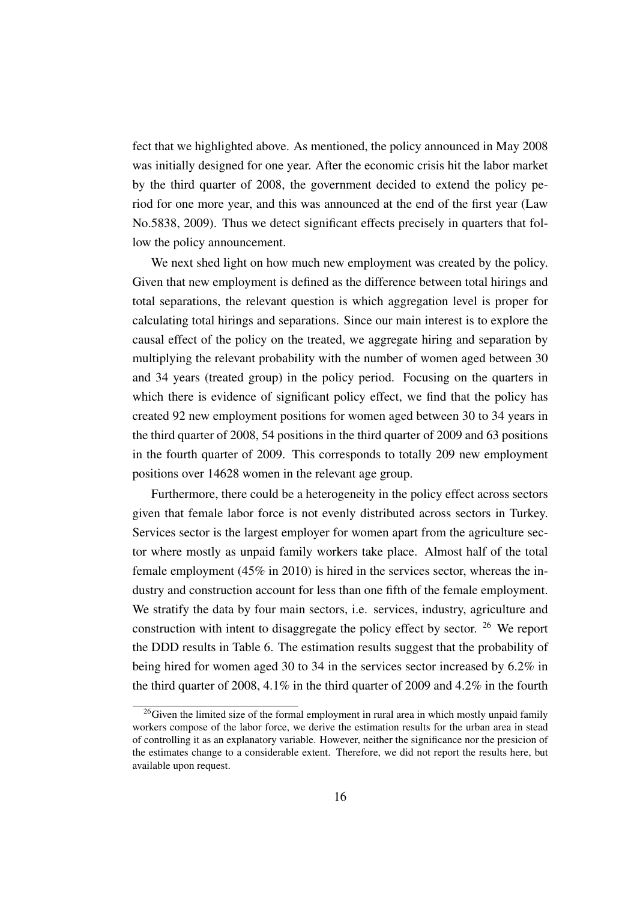fect that we highlighted above. As mentioned, the policy announced in May 2008 was initially designed for one year. After the economic crisis hit the labor market by the third quarter of 2008, the government decided to extend the policy period for one more year, and this was announced at the end of the first year (Law No.5838, 2009). Thus we detect significant effects precisely in quarters that follow the policy announcement.

We next shed light on how much new employment was created by the policy. Given that new employment is defined as the difference between total hirings and total separations, the relevant question is which aggregation level is proper for calculating total hirings and separations. Since our main interest is to explore the causal effect of the policy on the treated, we aggregate hiring and separation by multiplying the relevant probability with the number of women aged between 30 and 34 years (treated group) in the policy period. Focusing on the quarters in which there is evidence of significant policy effect, we find that the policy has created 92 new employment positions for women aged between 30 to 34 years in the third quarter of 2008, 54 positions in the third quarter of 2009 and 63 positions in the fourth quarter of 2009. This corresponds to totally 209 new employment positions over 14628 women in the relevant age group.

Furthermore, there could be a heterogeneity in the policy effect across sectors given that female labor force is not evenly distributed across sectors in Turkey. Services sector is the largest employer for women apart from the agriculture sector where mostly as unpaid family workers take place. Almost half of the total female employment (45% in 2010) is hired in the services sector, whereas the industry and construction account for less than one fifth of the female employment. We stratify the data by four main sectors, i.e. services, industry, agriculture and construction with intent to disaggregate the policy effect by sector. <sup>26</sup> We report the DDD results in Table 6. The estimation results suggest that the probability of being hired for women aged 30 to 34 in the services sector increased by 6.2% in the third quarter of 2008, 4.1% in the third quarter of 2009 and 4.2% in the fourth

<sup>&</sup>lt;sup>26</sup>Given the limited size of the formal employment in rural area in which mostly unpaid family workers compose of the labor force, we derive the estimation results for the urban area in stead of controlling it as an explanatory variable. However, neither the significance nor the presicion of the estimates change to a considerable extent. Therefore, we did not report the results here, but available upon request.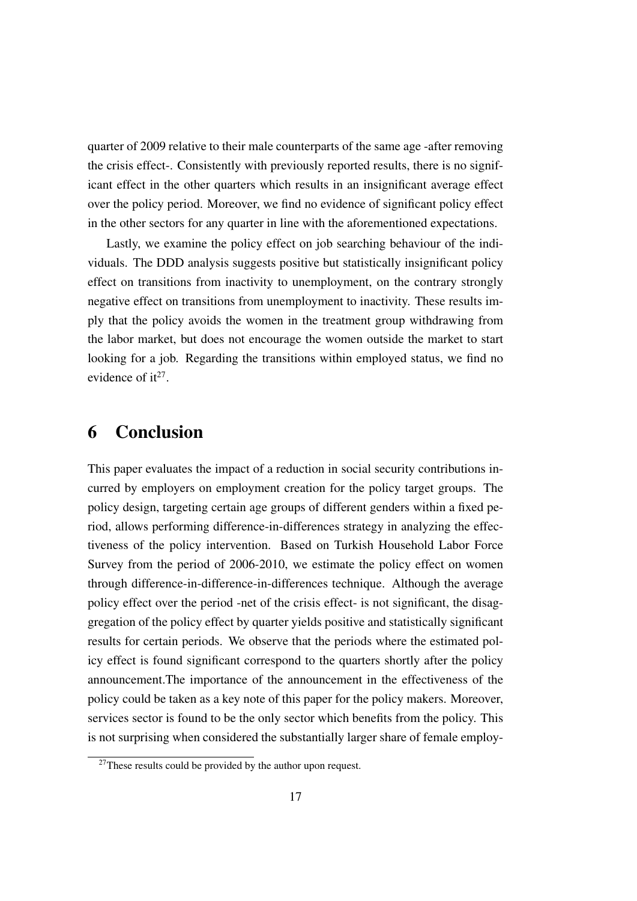quarter of 2009 relative to their male counterparts of the same age -after removing the crisis effect-. Consistently with previously reported results, there is no significant effect in the other quarters which results in an insignificant average effect over the policy period. Moreover, we find no evidence of significant policy effect in the other sectors for any quarter in line with the aforementioned expectations.

Lastly, we examine the policy effect on job searching behaviour of the individuals. The DDD analysis suggests positive but statistically insignificant policy effect on transitions from inactivity to unemployment, on the contrary strongly negative effect on transitions from unemployment to inactivity. These results imply that the policy avoids the women in the treatment group withdrawing from the labor market, but does not encourage the women outside the market to start looking for a job. Regarding the transitions within employed status, we find no evidence of  $it^{27}$ .

### 6 Conclusion

This paper evaluates the impact of a reduction in social security contributions incurred by employers on employment creation for the policy target groups. The policy design, targeting certain age groups of different genders within a fixed period, allows performing difference-in-differences strategy in analyzing the effectiveness of the policy intervention. Based on Turkish Household Labor Force Survey from the period of 2006-2010, we estimate the policy effect on women through difference-in-difference-in-differences technique. Although the average policy effect over the period -net of the crisis effect- is not significant, the disaggregation of the policy effect by quarter yields positive and statistically significant results for certain periods. We observe that the periods where the estimated policy effect is found significant correspond to the quarters shortly after the policy announcement.The importance of the announcement in the effectiveness of the policy could be taken as a key note of this paper for the policy makers. Moreover, services sector is found to be the only sector which benefits from the policy. This is not surprising when considered the substantially larger share of female employ-

 $^{27}$ These results could be provided by the author upon request.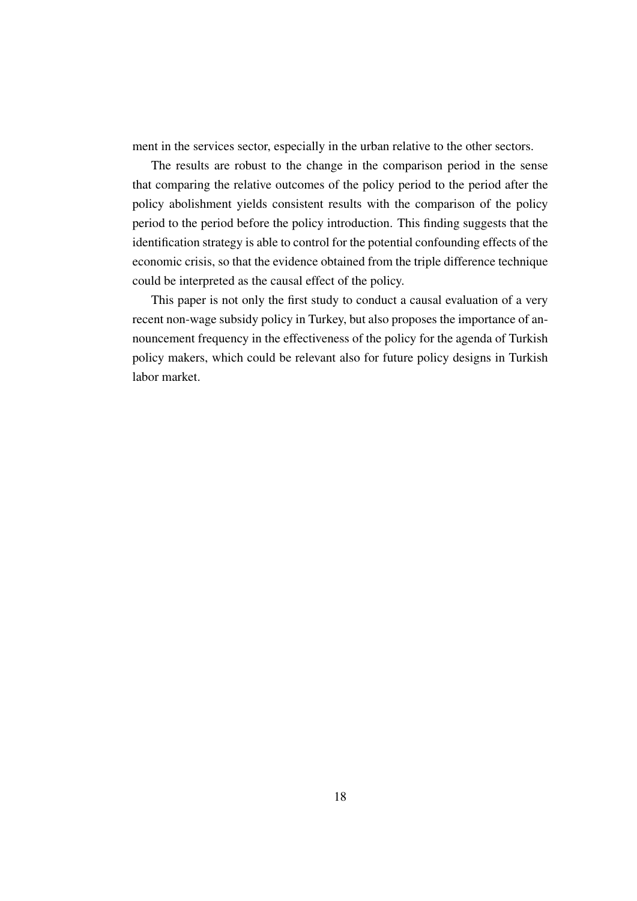ment in the services sector, especially in the urban relative to the other sectors.

The results are robust to the change in the comparison period in the sense that comparing the relative outcomes of the policy period to the period after the policy abolishment yields consistent results with the comparison of the policy period to the period before the policy introduction. This finding suggests that the identification strategy is able to control for the potential confounding effects of the economic crisis, so that the evidence obtained from the triple difference technique could be interpreted as the causal effect of the policy.

This paper is not only the first study to conduct a causal evaluation of a very recent non-wage subsidy policy in Turkey, but also proposes the importance of announcement frequency in the effectiveness of the policy for the agenda of Turkish policy makers, which could be relevant also for future policy designs in Turkish labor market.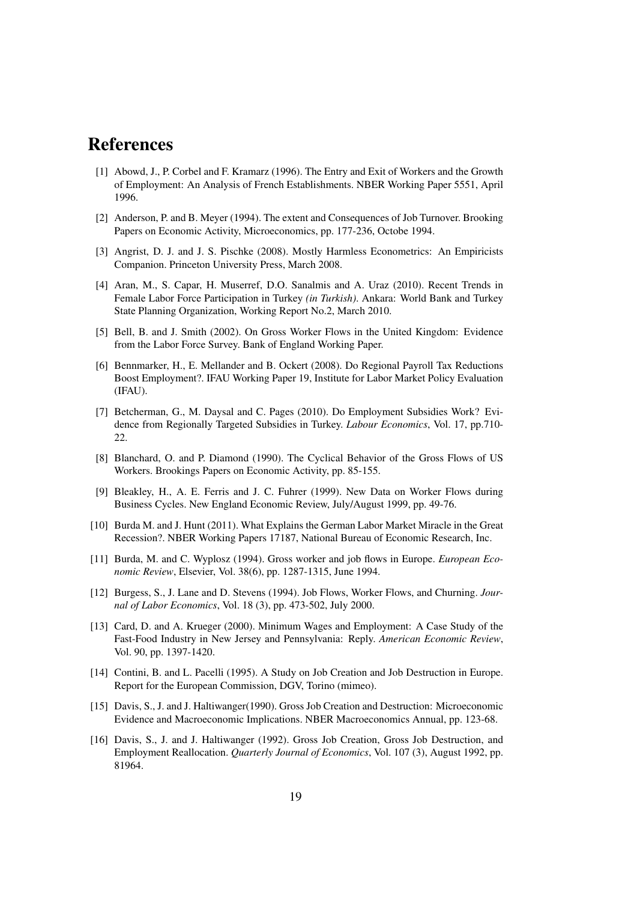# References

- [1] Abowd, J., P. Corbel and F. Kramarz (1996). The Entry and Exit of Workers and the Growth of Employment: An Analysis of French Establishments. NBER Working Paper 5551, April 1996.
- [2] Anderson, P. and B. Meyer (1994). The extent and Consequences of Job Turnover. Brooking Papers on Economic Activity, Microeconomics, pp. 177-236, Octobe 1994.
- [3] Angrist, D. J. and J. S. Pischke (2008). Mostly Harmless Econometrics: An Empiricists Companion. Princeton University Press, March 2008.
- [4] Aran, M., S. Capar, H. Muserref, D.O. Sanalmis and A. Uraz (2010). Recent Trends in Female Labor Force Participation in Turkey *(in Turkish)*. Ankara: World Bank and Turkey State Planning Organization, Working Report No.2, March 2010.
- [5] Bell, B. and J. Smith (2002). On Gross Worker Flows in the United Kingdom: Evidence from the Labor Force Survey. Bank of England Working Paper.
- [6] Bennmarker, H., E. Mellander and B. Ockert (2008). Do Regional Payroll Tax Reductions Boost Employment?. IFAU Working Paper 19, Institute for Labor Market Policy Evaluation (IFAU).
- [7] Betcherman, G., M. Daysal and C. Pages (2010). Do Employment Subsidies Work? Evidence from Regionally Targeted Subsidies in Turkey. *Labour Economics*, Vol. 17, pp.710- 22.
- [8] Blanchard, O. and P. Diamond (1990). The Cyclical Behavior of the Gross Flows of US Workers. Brookings Papers on Economic Activity, pp. 85-155.
- [9] Bleakley, H., A. E. Ferris and J. C. Fuhrer (1999). New Data on Worker Flows during Business Cycles. New England Economic Review, July/August 1999, pp. 49-76.
- [10] Burda M. and J. Hunt (2011). What Explains the German Labor Market Miracle in the Great Recession?. NBER Working Papers 17187, National Bureau of Economic Research, Inc.
- [11] Burda, M. and C. Wyplosz (1994). Gross worker and job flows in Europe. *European Economic Review*, Elsevier, Vol. 38(6), pp. 1287-1315, June 1994.
- [12] Burgess, S., J. Lane and D. Stevens (1994). Job Flows, Worker Flows, and Churning. *Journal of Labor Economics*, Vol. 18 (3), pp. 473-502, July 2000.
- [13] Card, D. and A. Krueger (2000). Minimum Wages and Employment: A Case Study of the Fast-Food Industry in New Jersey and Pennsylvania: Reply. *American Economic Review*, Vol. 90, pp. 1397-1420.
- [14] Contini, B. and L. Pacelli (1995). A Study on Job Creation and Job Destruction in Europe. Report for the European Commission, DGV, Torino (mimeo).
- [15] Davis, S., J. and J. Haltiwanger(1990). Gross Job Creation and Destruction: Microeconomic Evidence and Macroeconomic Implications. NBER Macroeconomics Annual, pp. 123-68.
- [16] Davis, S., J. and J. Haltiwanger (1992). Gross Job Creation, Gross Job Destruction, and Employment Reallocation. *Quarterly Journal of Economics*, Vol. 107 (3), August 1992, pp. 81964.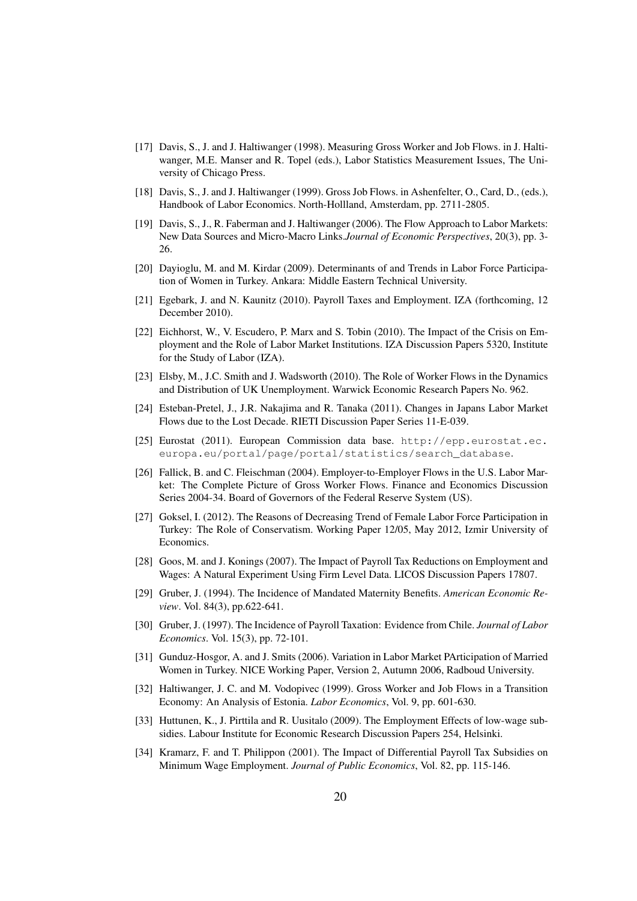- [17] Davis, S., J. and J. Haltiwanger (1998). Measuring Gross Worker and Job Flows. in J. Haltiwanger, M.E. Manser and R. Topel (eds.), Labor Statistics Measurement Issues, The University of Chicago Press.
- [18] Davis, S., J. and J. Haltiwanger (1999). Gross Job Flows. in Ashenfelter, O., Card, D., (eds.), Handbook of Labor Economics. North-Hollland, Amsterdam, pp. 2711-2805.
- [19] Davis, S., J., R. Faberman and J. Haltiwanger (2006). The Flow Approach to Labor Markets: New Data Sources and Micro-Macro Links.*Journal of Economic Perspectives*, 20(3), pp. 3- 26.
- [20] Dayioglu, M. and M. Kirdar (2009). Determinants of and Trends in Labor Force Participation of Women in Turkey. Ankara: Middle Eastern Technical University.
- [21] Egebark, J. and N. Kaunitz (2010). Payroll Taxes and Employment. IZA (forthcoming, 12 December 2010).
- [22] Eichhorst, W., V. Escudero, P. Marx and S. Tobin (2010). The Impact of the Crisis on Employment and the Role of Labor Market Institutions. IZA Discussion Papers 5320, Institute for the Study of Labor (IZA).
- [23] Elsby, M., J.C. Smith and J. Wadsworth (2010). The Role of Worker Flows in the Dynamics and Distribution of UK Unemployment. Warwick Economic Research Papers No. 962.
- [24] Esteban-Pretel, J., J.R. Nakajima and R. Tanaka (2011). Changes in Japans Labor Market Flows due to the Lost Decade. RIETI Discussion Paper Series 11-E-039.
- [25] Eurostat (2011). European Commission data base. http://epp.eurostat.ec. europa.eu/portal/page/portal/statistics/search\_database.
- [26] Fallick, B. and C. Fleischman (2004). Employer-to-Employer Flows in the U.S. Labor Market: The Complete Picture of Gross Worker Flows. Finance and Economics Discussion Series 2004-34. Board of Governors of the Federal Reserve System (US).
- [27] Goksel, I. (2012). The Reasons of Decreasing Trend of Female Labor Force Participation in Turkey: The Role of Conservatism. Working Paper 12/05, May 2012, Izmir University of Economics.
- [28] Goos, M. and J. Konings (2007). The Impact of Payroll Tax Reductions on Employment and Wages: A Natural Experiment Using Firm Level Data. LICOS Discussion Papers 17807.
- [29] Gruber, J. (1994). The Incidence of Mandated Maternity Benefits. *American Economic Review*. Vol. 84(3), pp.622-641.
- [30] Gruber, J. (1997). The Incidence of Payroll Taxation: Evidence from Chile. *Journal of Labor Economics*. Vol. 15(3), pp. 72-101.
- [31] Gunduz-Hosgor, A. and J. Smits (2006). Variation in Labor Market PArticipation of Married Women in Turkey. NICE Working Paper, Version 2, Autumn 2006, Radboud University.
- [32] Haltiwanger, J. C. and M. Vodopivec (1999). Gross Worker and Job Flows in a Transition Economy: An Analysis of Estonia. *Labor Economics*, Vol. 9, pp. 601-630.
- [33] Huttunen, K., J. Pirttila and R. Uusitalo (2009). The Employment Effects of low-wage subsidies. Labour Institute for Economic Research Discussion Papers 254, Helsinki.
- [34] Kramarz, F. and T. Philippon (2001). The Impact of Differential Payroll Tax Subsidies on Minimum Wage Employment. *Journal of Public Economics*, Vol. 82, pp. 115-146.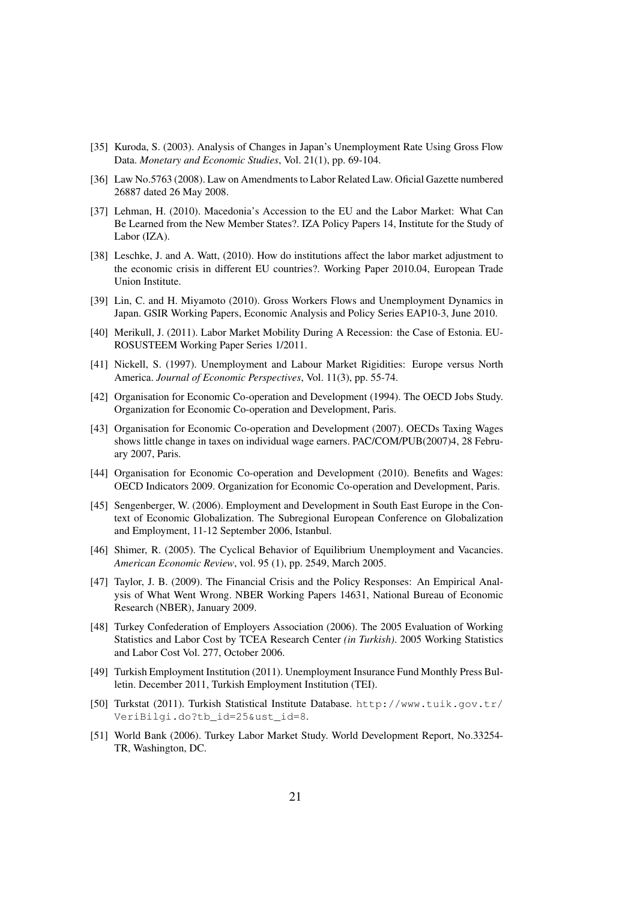- [35] Kuroda, S. (2003). Analysis of Changes in Japan's Unemployment Rate Using Gross Flow Data. *Monetary and Economic Studies*, Vol. 21(1), pp. 69-104.
- [36] Law No.5763 (2008). Law on Amendments to Labor Related Law. Oficial Gazette numbered 26887 dated 26 May 2008.
- [37] Lehman, H. (2010). Macedonia's Accession to the EU and the Labor Market: What Can Be Learned from the New Member States?. IZA Policy Papers 14, Institute for the Study of Labor (IZA).
- [38] Leschke, J. and A. Watt, (2010). How do institutions affect the labor market adjustment to the economic crisis in different EU countries?. Working Paper 2010.04, European Trade Union Institute.
- [39] Lin, C. and H. Miyamoto (2010). Gross Workers Flows and Unemployment Dynamics in Japan. GSIR Working Papers, Economic Analysis and Policy Series EAP10-3, June 2010.
- [40] Merikull, J. (2011). Labor Market Mobility During A Recession: the Case of Estonia. EU-ROSUSTEEM Working Paper Series 1/2011.
- [41] Nickell, S. (1997). Unemployment and Labour Market Rigidities: Europe versus North America. *Journal of Economic Perspectives*, Vol. 11(3), pp. 55-74.
- [42] Organisation for Economic Co-operation and Development (1994). The OECD Jobs Study. Organization for Economic Co-operation and Development, Paris.
- [43] Organisation for Economic Co-operation and Development (2007). OECDs Taxing Wages shows little change in taxes on individual wage earners. PAC/COM/PUB(2007)4, 28 February 2007, Paris.
- [44] Organisation for Economic Co-operation and Development (2010). Benefits and Wages: OECD Indicators 2009. Organization for Economic Co-operation and Development, Paris.
- [45] Sengenberger, W. (2006). Employment and Development in South East Europe in the Context of Economic Globalization. The Subregional European Conference on Globalization and Employment, 11-12 September 2006, Istanbul.
- [46] Shimer, R. (2005). The Cyclical Behavior of Equilibrium Unemployment and Vacancies. *American Economic Review*, vol. 95 (1), pp. 2549, March 2005.
- [47] Taylor, J. B. (2009). The Financial Crisis and the Policy Responses: An Empirical Analysis of What Went Wrong. NBER Working Papers 14631, National Bureau of Economic Research (NBER), January 2009.
- [48] Turkey Confederation of Employers Association (2006). The 2005 Evaluation of Working Statistics and Labor Cost by TCEA Research Center *(in Turkish)*. 2005 Working Statistics and Labor Cost Vol. 277, October 2006.
- [49] Turkish Employment Institution (2011). Unemployment Insurance Fund Monthly Press Bulletin. December 2011, Turkish Employment Institution (TEI).
- [50] Turkstat (2011). Turkish Statistical Institute Database. http://www.tuik.gov.tr/ VeriBilgi.do?tb\_id=25&ust\_id=8.
- [51] World Bank (2006). Turkey Labor Market Study. World Development Report, No.33254- TR, Washington, DC.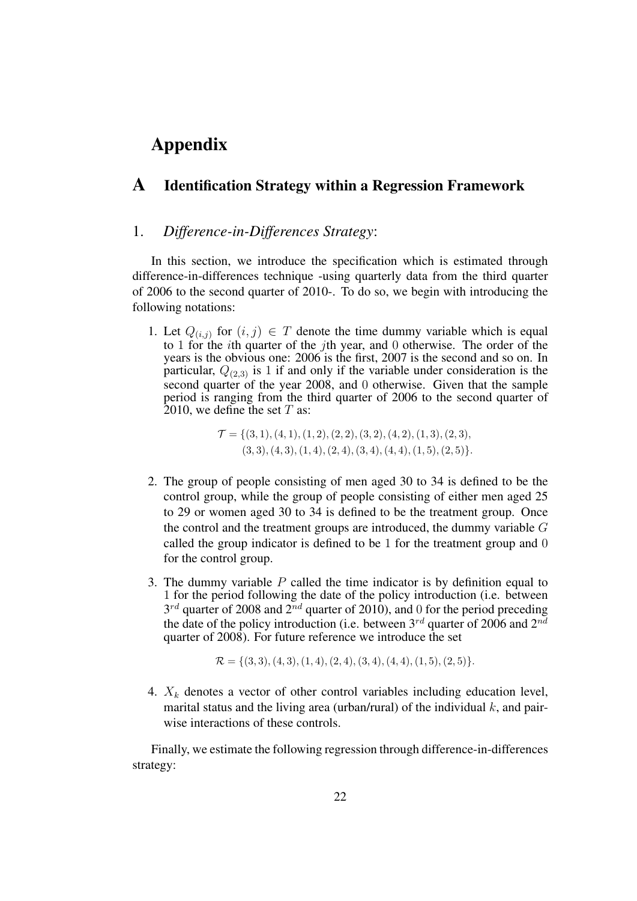# Appendix

### A Identification Strategy within a Regression Framework

#### 1. *Difference-in-Differences Strategy*:

In this section, we introduce the specification which is estimated through difference-in-differences technique -using quarterly data from the third quarter of 2006 to the second quarter of 2010-. To do so, we begin with introducing the following notations:

1. Let  $Q_{(i,j)}$  for  $(i,j) \in T$  denote the time dummy variable which is equal to 1 for the ith quarter of the jth year, and 0 otherwise. The order of the years is the obvious one: 2006 is the first, 2007 is the second and so on. In particular,  $Q_{(2,3)}$  is 1 if and only if the variable under consideration is the second quarter of the year 2008, and 0 otherwise. Given that the sample period is ranging from the third quarter of 2006 to the second quarter of 2010, we define the set  $T$  as:

> $\mathcal{T} = \{(3, 1), (4, 1), (1, 2), (2, 2), (3, 2), (4, 2), (1, 3), (2, 3),$  $(3, 3), (4, 3), (1, 4), (2, 4), (3, 4), (4, 4), (1, 5), (2, 5)\}.$

- 2. The group of people consisting of men aged 30 to 34 is defined to be the control group, while the group of people consisting of either men aged 25 to 29 or women aged 30 to 34 is defined to be the treatment group. Once the control and the treatment groups are introduced, the dummy variable  $G$ called the group indicator is defined to be 1 for the treatment group and 0 for the control group.
- 3. The dummy variable  $P$  called the time indicator is by definition equal to 1 for the period following the date of the policy introduction (i.e. between  $3^{rd}$  quarter of 2008 and  $2^{nd}$  quarter of 2010), and 0 for the period preceding the date of the policy introduction (i.e. between  $3^{rd}$  quarter of 2006 and  $2^{nd}$ quarter of 2008). For future reference we introduce the set

$$
\mathcal{R} = \{ (3,3), (4,3), (1,4), (2,4), (3,4), (4,4), (1,5), (2,5) \}.
$$

4.  $X_k$  denotes a vector of other control variables including education level, marital status and the living area (urban/rural) of the individual  $k$ , and pairwise interactions of these controls.

Finally, we estimate the following regression through difference-in-differences strategy: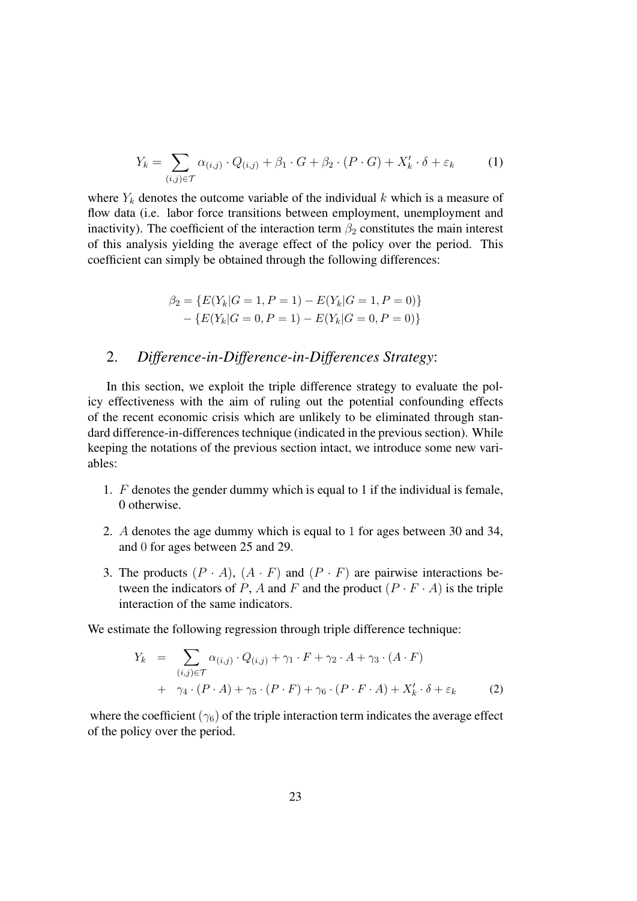$$
Y_k = \sum_{(i,j)\in\mathcal{T}} \alpha_{(i,j)} \cdot Q_{(i,j)} + \beta_1 \cdot G + \beta_2 \cdot (P \cdot G) + X'_k \cdot \delta + \varepsilon_k \tag{1}
$$

where  $Y_k$  denotes the outcome variable of the individual k which is a measure of flow data (i.e. labor force transitions between employment, unemployment and inactivity). The coefficient of the interaction term  $\beta_2$  constitutes the main interest of this analysis yielding the average effect of the policy over the period. This coefficient can simply be obtained through the following differences:

$$
\beta_2 = \{ E(Y_k | G = 1, P = 1) - E(Y_k | G = 1, P = 0) \} - \{ E(Y_k | G = 0, P = 1) - E(Y_k | G = 0, P = 0) \}
$$

#### 2. *Difference-in-Difference-in-Differences Strategy*:

In this section, we exploit the triple difference strategy to evaluate the policy effectiveness with the aim of ruling out the potential confounding effects of the recent economic crisis which are unlikely to be eliminated through standard difference-in-differences technique (indicated in the previous section). While keeping the notations of the previous section intact, we introduce some new variables:

- 1. F denotes the gender dummy which is equal to 1 if the individual is female, 0 otherwise.
- 2. A denotes the age dummy which is equal to 1 for ages between 30 and 34, and 0 for ages between 25 and 29.
- 3. The products  $(P \cdot A)$ ,  $(A \cdot F)$  and  $(P \cdot F)$  are pairwise interactions between the indicators of P, A and F and the product  $(P \cdot F \cdot A)$  is the triple interaction of the same indicators.

We estimate the following regression through triple difference technique:

$$
Y_k = \sum_{(i,j)\in\mathcal{T}} \alpha_{(i,j)} \cdot Q_{(i,j)} + \gamma_1 \cdot F + \gamma_2 \cdot A + \gamma_3 \cdot (A \cdot F)
$$
  
+ 
$$
\gamma_4 \cdot (P \cdot A) + \gamma_5 \cdot (P \cdot F) + \gamma_6 \cdot (P \cdot F \cdot A) + X'_k \cdot \delta + \varepsilon_k
$$
 (2)

where the coefficient ( $\gamma_6$ ) of the triple interaction term indicates the average effect of the policy over the period.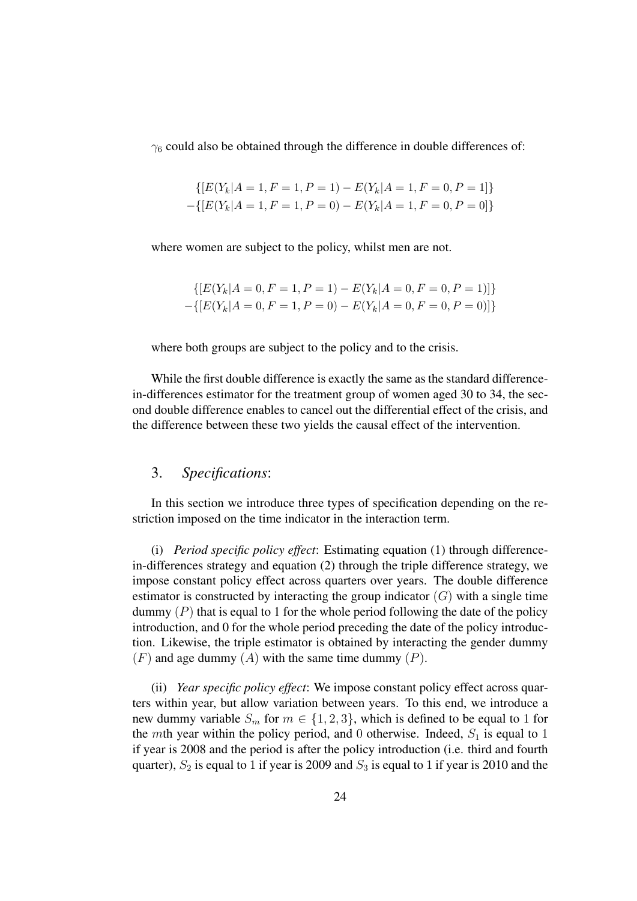$\gamma_6$  could also be obtained through the difference in double differences of:

$$
\{[E(Y_k|A=1, F=1, P=1) - E(Y_k|A=1, F=0, P=1]\}
$$

$$
-\{[E(Y_k|A=1, F=1, P=0) - E(Y_k|A=1, F=0, P=0]\}
$$

where women are subject to the policy, whilst men are not.

$$
\{ [E(Y_k | A = 0, F = 1, P = 1) - E(Y_k | A = 0, F = 0, P = 1)] \}
$$

$$
- \{ [E(Y_k | A = 0, F = 1, P = 0) - E(Y_k | A = 0, F = 0, P = 0)] \}
$$

where both groups are subject to the policy and to the crisis.

While the first double difference is exactly the same as the standard differencein-differences estimator for the treatment group of women aged 30 to 34, the second double difference enables to cancel out the differential effect of the crisis, and the difference between these two yields the causal effect of the intervention.

#### 3. *Specifications*:

In this section we introduce three types of specification depending on the restriction imposed on the time indicator in the interaction term.

(i) *Period specific policy effect*: Estimating equation (1) through differencein-differences strategy and equation (2) through the triple difference strategy, we impose constant policy effect across quarters over years. The double difference estimator is constructed by interacting the group indicator  $(G)$  with a single time dummy  $(P)$  that is equal to 1 for the whole period following the date of the policy introduction, and 0 for the whole period preceding the date of the policy introduction. Likewise, the triple estimator is obtained by interacting the gender dummy  $(F)$  and age dummy  $(A)$  with the same time dummy  $(P)$ .

(ii) *Year specific policy effect*: We impose constant policy effect across quarters within year, but allow variation between years. To this end, we introduce a new dummy variable  $S_m$  for  $m \in \{1,2,3\}$ , which is defined to be equal to 1 for the mth year within the policy period, and 0 otherwise. Indeed,  $S_1$  is equal to 1 if year is 2008 and the period is after the policy introduction (i.e. third and fourth quarter),  $S_2$  is equal to 1 if year is 2009 and  $S_3$  is equal to 1 if year is 2010 and the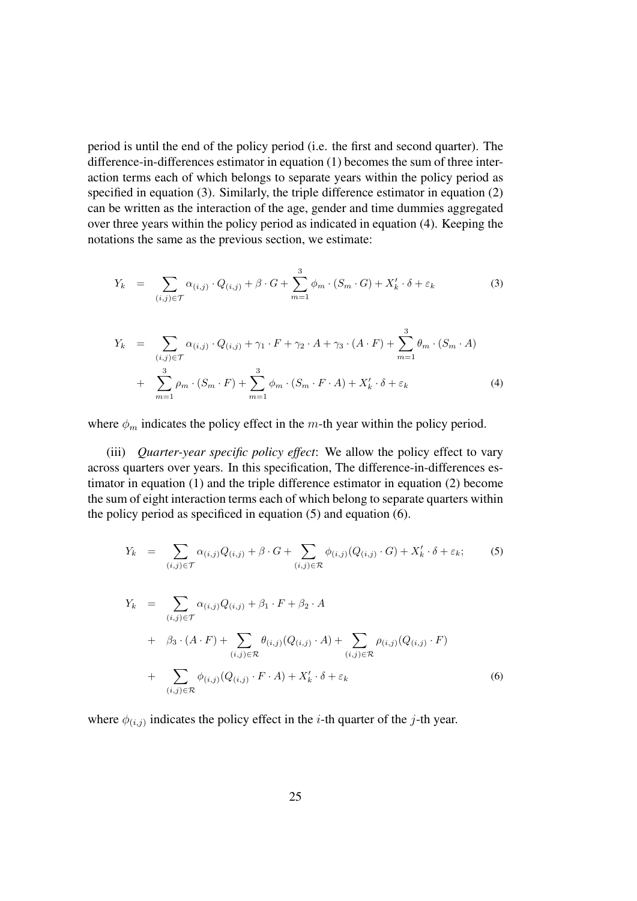period is until the end of the policy period (i.e. the first and second quarter). The difference-in-differences estimator in equation (1) becomes the sum of three interaction terms each of which belongs to separate years within the policy period as specified in equation (3). Similarly, the triple difference estimator in equation (2) can be written as the interaction of the age, gender and time dummies aggregated over three years within the policy period as indicated in equation (4). Keeping the notations the same as the previous section, we estimate:

$$
Y_k = \sum_{(i,j)\in\mathcal{T}} \alpha_{(i,j)} \cdot Q_{(i,j)} + \beta \cdot G + \sum_{m=1}^3 \phi_m \cdot (S_m \cdot G) + X'_k \cdot \delta + \varepsilon_k \tag{3}
$$

$$
Y_k = \sum_{(i,j)\in\mathcal{T}} \alpha_{(i,j)} \cdot Q_{(i,j)} + \gamma_1 \cdot F + \gamma_2 \cdot A + \gamma_3 \cdot (A \cdot F) + \sum_{m=1}^3 \theta_m \cdot (S_m \cdot A)
$$
  
+ 
$$
\sum_{m=1}^3 \rho_m \cdot (S_m \cdot F) + \sum_{m=1}^3 \phi_m \cdot (S_m \cdot F \cdot A) + X'_k \cdot \delta + \varepsilon_k
$$
 (4)

where  $\phi_m$  indicates the policy effect in the m-th year within the policy period.

(iii) *Quarter-year specific policy effect*: We allow the policy effect to vary across quarters over years. In this specification, The difference-in-differences estimator in equation (1) and the triple difference estimator in equation (2) become the sum of eight interaction terms each of which belong to separate quarters within the policy period as specificed in equation (5) and equation (6).

$$
Y_k = \sum_{(i,j)\in\mathcal{T}} \alpha_{(i,j)} Q_{(i,j)} + \beta \cdot G + \sum_{(i,j)\in\mathcal{R}} \phi_{(i,j)} (Q_{(i,j)} \cdot G) + X'_k \cdot \delta + \varepsilon_k; \tag{5}
$$

$$
Y_k = \sum_{(i,j)\in\mathcal{T}} \alpha_{(i,j)} Q_{(i,j)} + \beta_1 \cdot F + \beta_2 \cdot A
$$
  
+ 
$$
\beta_3 \cdot (A \cdot F) + \sum_{(i,j)\in\mathcal{R}} \theta_{(i,j)} (Q_{(i,j)} \cdot A) + \sum_{(i,j)\in\mathcal{R}} \rho_{(i,j)} (Q_{(i,j)} \cdot F)
$$
  
+ 
$$
\sum_{(i,j)\in\mathcal{R}} \phi_{(i,j)} (Q_{(i,j)} \cdot F \cdot A) + X'_k \cdot \delta + \varepsilon_k
$$
 (6)

where  $\phi_{(i,j)}$  indicates the policy effect in the *i*-th quarter of the *j*-th year.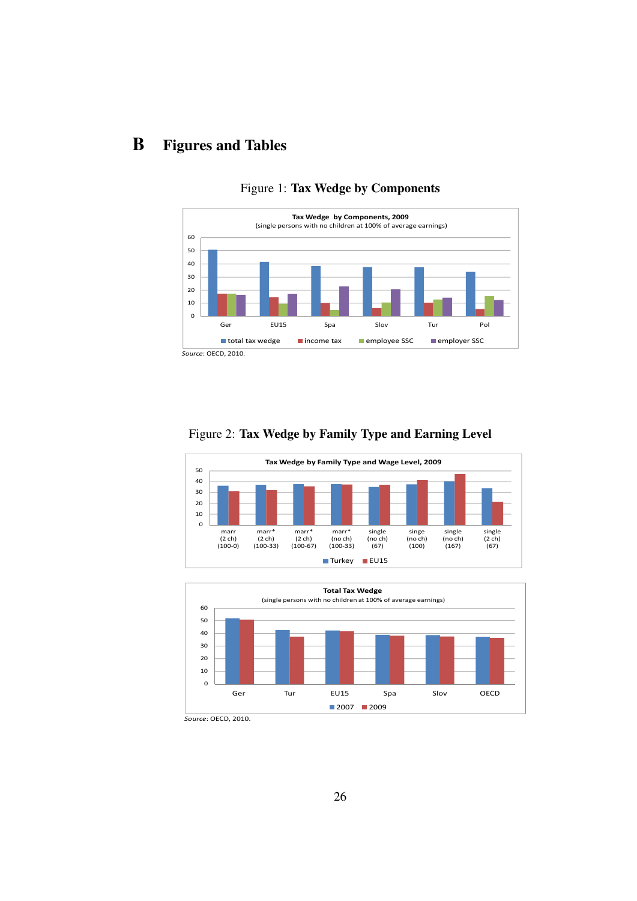# B Figures and Tables



### Figure 1: Tax Wedge by Components

### Figure 2: Tax Wedge by Family Type and Earning Level





*Source*: OECD, 2010.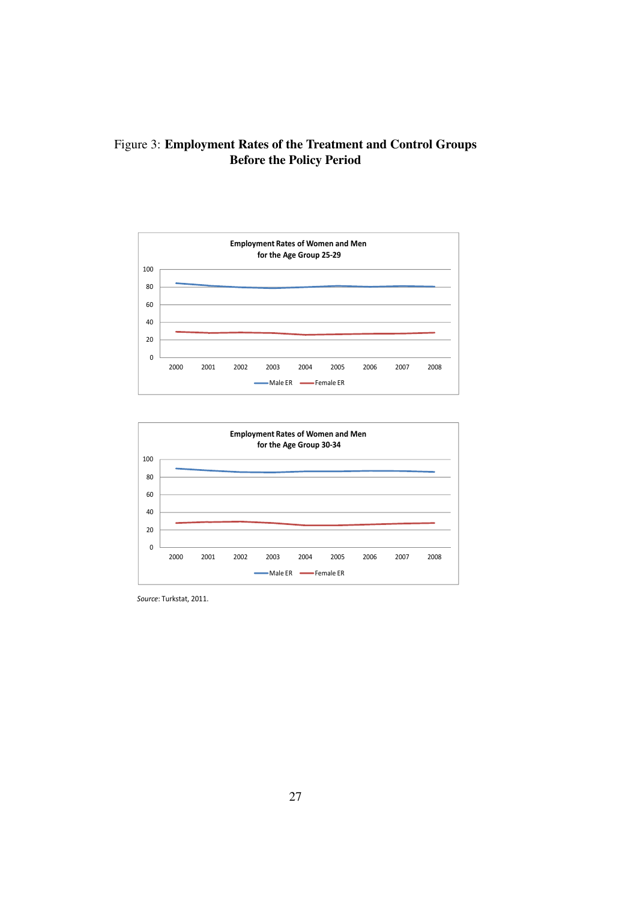Figure 3: Employment Rates of the Treatment and Control Groups Before the Policy Period





*Source*: Turkstat, 2011.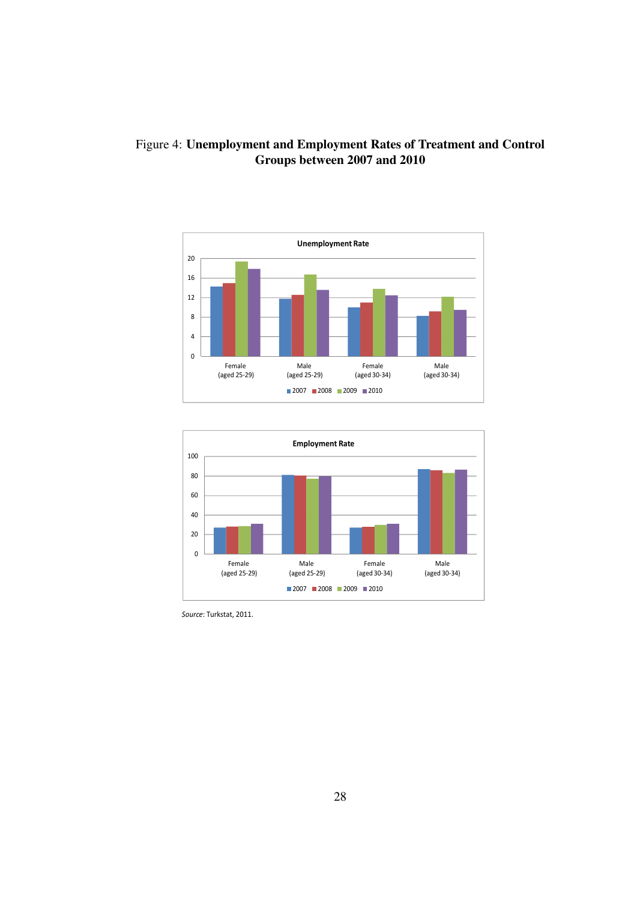

### Figure 4: Unemployment and Employment Rates of Treatment and Control Groups between 2007 and 2010



*Source*: Turkstat, 2011.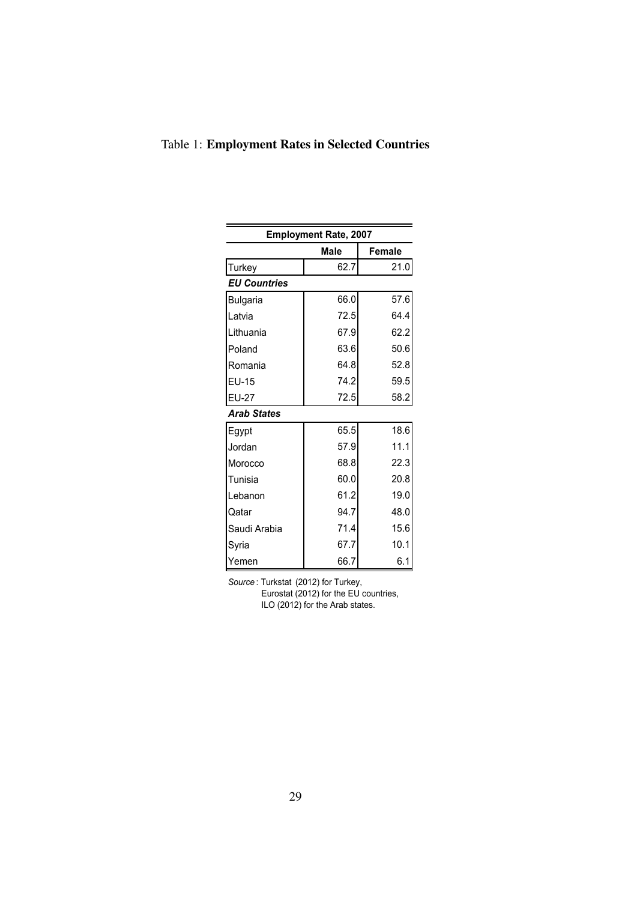|                     | <b>Employment Rate, 2007</b> |               |
|---------------------|------------------------------|---------------|
|                     | <b>Male</b>                  | <b>Female</b> |
| Turkey              | 62.7                         | 21.0          |
| <b>EU Countries</b> |                              |               |
| <b>Bulgaria</b>     | 66.0                         | 57.6          |
| Latvia              | 72.5                         | 64.4          |
| Lithuania           | 67.9                         | 62.2          |
| Poland              | 63.6                         | 50.6          |
| Romania             | 64.8                         | 52.8          |
| EU-15               | 74.2                         | 59.5          |
| EU-27               | 72.5                         | 58.2          |
| <b>Arab States</b>  |                              |               |
| Egypt               | 65.5                         | 18.6          |
| Jordan              | 57.9                         | 11.1          |
| Morocco             | 68.8                         | 22.3          |
| Tunisia             | 60.0                         | 20.8          |
| Lebanon             | 61.2                         | 19.0          |
| Qatar               | 94.7                         | 48.0          |
| Saudi Arabia        | 71.4                         | 15.6          |
| Svria               | 67.7                         | 10.1          |
| Yemen               | 66.7                         | 6.1           |

### Table 1: Employment Rates in Selected Countries

*Source* : Turkstat (2012) for Turkey, Eurostat (2012) for the EU countries, ILO (2012) for the Arab states.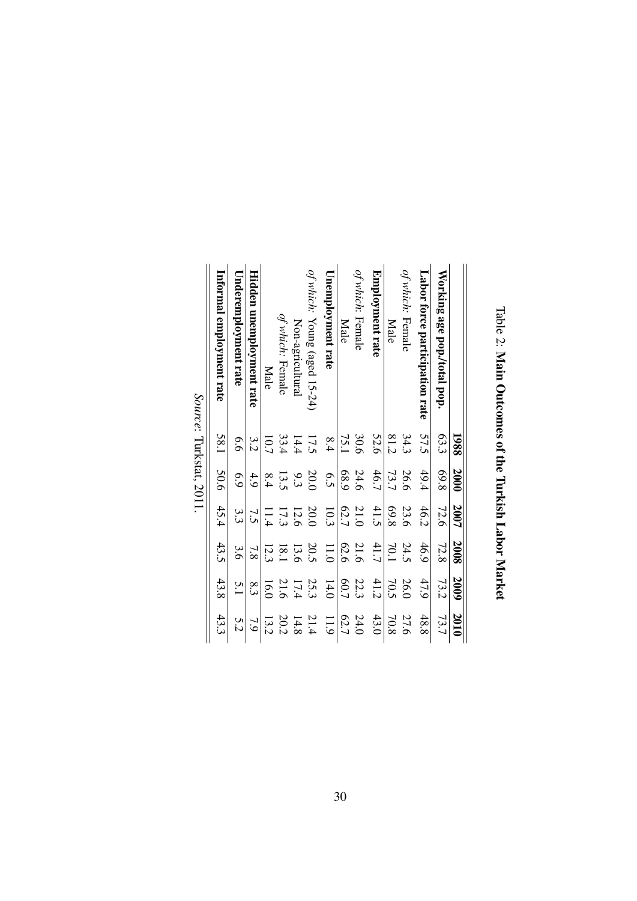|                                | 1988 | 2000 | 2007 | 2008          | 2009 | 2010 |
|--------------------------------|------|------|------|---------------|------|------|
| Working age pop./total pop.    | 63.3 | 869  | 72.6 | 72.8          | 73.2 | 73.7 |
| Labor force participation rate | 57.5 | 49.4 | 46.2 | 46.9          | 47.9 | 48.8 |
| of which: Female               | 34.3 | 26.6 | 23.6 | 24.5          | 26.0 | 27.6 |
| Male                           | 81.2 | 73.7 | 89.8 | 70.1          | 70.5 | 70.8 |
| Employment rate                | 52.6 | 46.7 | 41.5 | 41.7          | 41.2 | 43.0 |
| of which: Female               | 30.6 | 24.6 | 21.0 | 21.6          | 22.3 | 24.0 |
| Male                           | 75.1 | 689  | 62.7 | 62.6          | F0.7 | 62.7 |
| <b>Unemployment rate</b>       | 8.4  | 6.5  | 10.3 | 11.0          | 14.0 | 11.9 |
| of which: Young (aged 15-24)   | 17.5 | 20.0 | 20.0 | 20.5          | 25.3 | 21.4 |
| Non-agricultural               | 14.4 | 9.3  | 12.6 | 13.6          | 17.4 | 14.8 |
| of which: Female               | 33.4 | 13.5 | 17.3 | 18.1          | 21.6 | 20.2 |
| Male                           | 10.7 | 8.4  | 11.4 | 12.3          | 16.0 | 13.2 |
| Hidden unemployment rate       | 3.2  | 4.9  | 73   | $\frac{7}{8}$ | 8.3  | 7.9  |
| Underemployment rate           | 6.6  | 6.9  | 3.3  | 3.6           | 5.1  | 5.2  |
| Informal employment rate       | 58.1 | 50.6 | 45.4 | 43.5          | 43.8 | 43.3 |
| Source: Turkstat, 2011.        |      |      |      |               |      |      |

Table 2: Main Outcomes of the Turkish Labor Market Main Outcomes of the Turkish Labor Market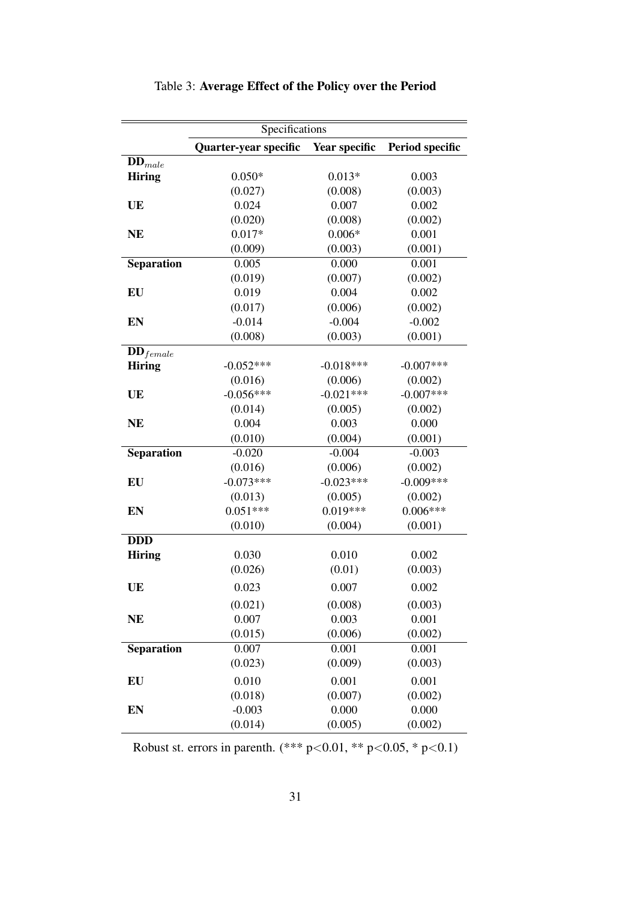|                        | Specifications        |               |                 |
|------------------------|-----------------------|---------------|-----------------|
|                        | Quarter-year specific | Year specific | Period specific |
| $DD_{male}$            |                       |               |                 |
| <b>Hiring</b>          | $0.050*$              | $0.013*$      | 0.003           |
|                        | (0.027)               | (0.008)       | (0.003)         |
| UE                     | 0.024                 | 0.007         | 0.002           |
|                        | (0.020)               | (0.008)       | (0.002)         |
| <b>NE</b>              | $0.017*$              | $0.006*$      | 0.001           |
|                        | (0.009)               | (0.003)       | (0.001)         |
| Separation             | 0.005                 | 0.000         | 0.001           |
|                        | (0.019)               | (0.007)       | (0.002)         |
| EU                     | 0.019                 | 0.004         | 0.002           |
|                        | (0.017)               | (0.006)       | (0.002)         |
| EN                     | $-0.014$              | $-0.004$      | $-0.002$        |
|                        | (0.008)               | (0.003)       | (0.001)         |
| $\mathbf{DD}_{female}$ |                       |               |                 |
| <b>Hiring</b>          | $-0.052***$           | $-0.018***$   | $-0.007***$     |
|                        | (0.016)               | (0.006)       | (0.002)         |
| UE                     | $-0.056***$           | $-0.021***$   | $-0.007***$     |
|                        | (0.014)               | (0.005)       | (0.002)         |
| <b>NE</b>              | 0.004                 | 0.003         | 0.000           |
|                        | (0.010)               | (0.004)       | (0.001)         |
| Separation             | $-0.020$              | $-0.004$      | $-0.003$        |
|                        | (0.016)               | (0.006)       | (0.002)         |
| EU                     | $-0.073***$           | $-0.023***$   | $-0.009***$     |
|                        | (0.013)               | (0.005)       | (0.002)         |
| EN                     | $0.051***$            | $0.019***$    | $0.006***$      |
|                        | (0.010)               | (0.004)       | (0.001)         |
| <b>DDD</b>             |                       |               |                 |
| <b>Hiring</b>          | 0.030                 | 0.010         | 0.002           |
|                        | (0.026)               | (0.01)        | (0.003)         |
| UE                     | 0.023                 | 0.007         | 0.002           |
|                        | (0.021)               | (0.008)       | (0.003)         |
| <b>NE</b>              | 0.007                 | 0.003         | 0.001           |
|                        | (0.015)               | (0.006)       | (0.002)         |
| Separation             | 0.007                 | 0.001         | 0.001           |
|                        | (0.023)               | (0.009)       | (0.003)         |
| EU                     | 0.010                 | 0.001         | 0.001           |
|                        | (0.018)               | (0.007)       | (0.002)         |
| EN                     | $-0.003$              | 0.000         | 0.000           |
|                        | (0.014)               | (0.005)       | (0.002)         |

Table 3: Average Effect of the Policy over the Period

Robust st. errors in parenth. (\*\*\* p<0.01, \*\* p<0.05, \* p<0.1)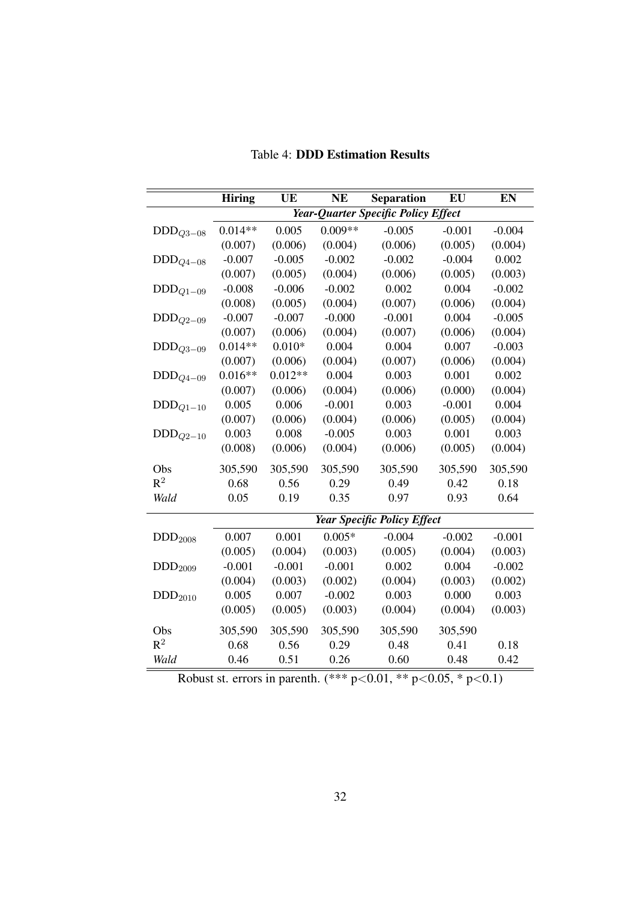|                        | <b>Hiring</b> | UE        | <b>NE</b> | <b>Separation</b>                   | EU       | EN       |
|------------------------|---------------|-----------|-----------|-------------------------------------|----------|----------|
|                        |               |           |           | Year-Quarter Specific Policy Effect |          |          |
| $DDD_{Q3-08}$          | $0.014**$     | 0.005     | $0.009**$ | $-0.005$                            | $-0.001$ | $-0.004$ |
|                        | (0.007)       | (0.006)   | (0.004)   | (0.006)                             | (0.005)  | (0.004)  |
| $\text{DDD}_{Q4-08}$   | $-0.007$      | $-0.005$  | $-0.002$  | $-0.002$                            | $-0.004$ | 0.002    |
|                        | (0.007)       | (0.005)   | (0.004)   | (0.006)                             | (0.005)  | (0.003)  |
| $\text{DDD}_{Q1-09}$   | $-0.008$      | $-0.006$  | $-0.002$  | 0.002                               | 0.004    | $-0.002$ |
|                        | (0.008)       | (0.005)   | (0.004)   | (0.007)                             | (0.006)  | (0.004)  |
| $DDD_{Q2-09}$          | $-0.007$      | $-0.007$  | $-0.000$  | $-0.001$                            | 0.004    | $-0.005$ |
|                        | (0.007)       | (0.006)   | (0.004)   | (0.007)                             | (0.006)  | (0.004)  |
| $\mathrm{DDD}_{Q3-09}$ | $0.014**$     | $0.010*$  | 0.004     | 0.004                               | 0.007    | $-0.003$ |
|                        | (0.007)       | (0.006)   | (0.004)   | (0.007)                             | (0.006)  | (0.004)  |
| $\text{DDD}_{Q4-09}$   | $0.016**$     | $0.012**$ | 0.004     | 0.003                               | 0.001    | 0.002    |
|                        | (0.007)       | (0.006)   | (0.004)   | (0.006)                             | (0.000)  | (0.004)  |
| $DDD_{Q1-10}$          | 0.005         | 0.006     | $-0.001$  | 0.003                               | $-0.001$ | 0.004    |
|                        | (0.007)       | (0.006)   | (0.004)   | (0.006)                             | (0.005)  | (0.004)  |
| $\text{DDD}_{Q2-10}$   | 0.003         | 0.008     | $-0.005$  | 0.003                               | 0.001    | 0.003    |
|                        | (0.008)       | (0.006)   | (0.004)   | (0.006)                             | (0.005)  | (0.004)  |
| Obs                    | 305,590       | 305,590   | 305,590   | 305,590                             | 305,590  | 305,590  |
| $R^2$                  | 0.68          | 0.56      | 0.29      | 0.49                                | 0.42     | 0.18     |
| Wald                   | 0.05          | 0.19      | 0.35      | 0.97                                | 0.93     | 0.64     |
|                        |               |           |           | <b>Year Specific Policy Effect</b>  |          |          |
| DDD <sub>2008</sub>    | 0.007         | 0.001     | $0.005*$  | $-0.004$                            | $-0.002$ | $-0.001$ |
|                        | (0.005)       | (0.004)   | (0.003)   | (0.005)                             | (0.004)  | (0.003)  |
| DDD <sub>2009</sub>    | $-0.001$      | $-0.001$  | $-0.001$  | 0.002                               | 0.004    | $-0.002$ |
|                        | (0.004)       | (0.003)   | (0.002)   | (0.004)                             | (0.003)  | (0.002)  |
| $DDD_{2010}$           | 0.005         | 0.007     | $-0.002$  | 0.003                               | 0.000    | 0.003    |
|                        | (0.005)       | (0.005)   | (0.003)   | (0.004)                             | (0.004)  | (0.003)  |
| Obs                    | 305,590       | 305,590   | 305,590   | 305,590                             | 305,590  |          |
| $R^2$                  | 0.68          | 0.56      | 0.29      | 0.48                                | 0.41     | 0.18     |
| Wald                   | 0.46          | 0.51      | 0.26      | 0.60                                | 0.48     | 0.42     |
|                        |               |           |           |                                     |          |          |

Table 4: DDD Estimation Results

Robust st. errors in parenth.  $(*** p<0.01, ** p<0.05, * p<0.1)$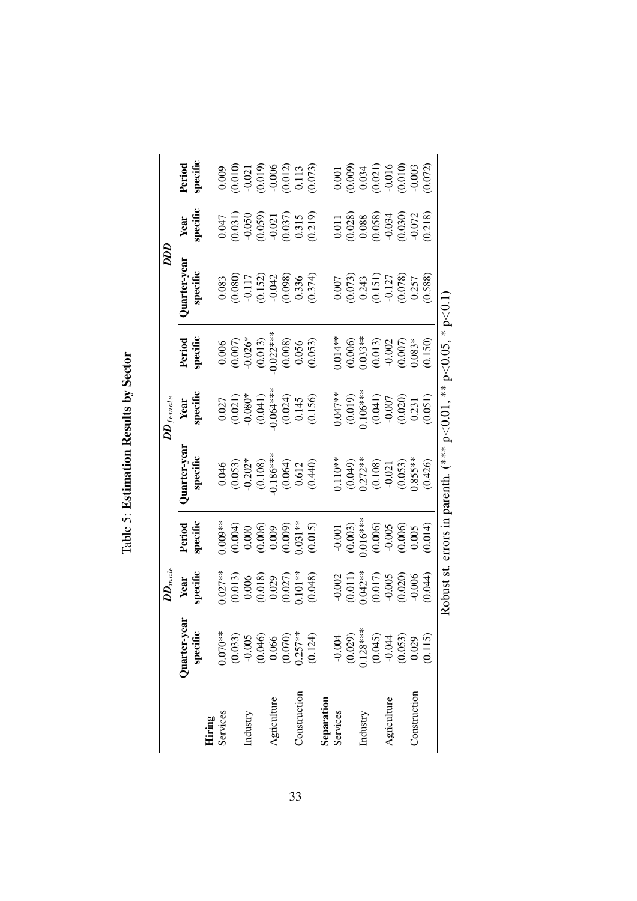| l                                              |
|------------------------------------------------|
| $\overline{a}$                                 |
| $\sim$ 0.1 $\sim$ $\sim$<br>$\frac{1}{2}$<br>ſ |
| ΰ<br>I<br>Table                                |

|              |                        | $\bm{D}\bm{D}_{male}$                                                              |                                                                                       |                                                                                                                                           | $\boldsymbol{D}\boldsymbol{D}_{f\,emale}$                                                                                     |                                                                                                                                        | Taa                                                                                                 |                                                                                                              |                                                                                                       |
|--------------|------------------------|------------------------------------------------------------------------------------|---------------------------------------------------------------------------------------|-------------------------------------------------------------------------------------------------------------------------------------------|-------------------------------------------------------------------------------------------------------------------------------|----------------------------------------------------------------------------------------------------------------------------------------|-----------------------------------------------------------------------------------------------------|--------------------------------------------------------------------------------------------------------------|-------------------------------------------------------------------------------------------------------|
|              | Juarter-year           | Year                                                                               | Period                                                                                | <b>Juarter-yea</b>                                                                                                                        | Year                                                                                                                          | Period                                                                                                                                 | Juarter-yea                                                                                         | Year                                                                                                         | Period                                                                                                |
|              | specific               | specific                                                                           | specific                                                                              | specific                                                                                                                                  | specific                                                                                                                      | specific                                                                                                                               | specific                                                                                            | specific                                                                                                     | specific                                                                                              |
| Hiring       |                        |                                                                                    |                                                                                       |                                                                                                                                           |                                                                                                                               |                                                                                                                                        |                                                                                                     |                                                                                                              |                                                                                                       |
| Services     | $0.070**$              |                                                                                    | $0.009**$                                                                             |                                                                                                                                           |                                                                                                                               |                                                                                                                                        |                                                                                                     |                                                                                                              |                                                                                                       |
|              | $(0.033)$<br>$-0.005$  | $0.027**$<br>$(0.013)$<br>$0.006$<br>$(0.018)$<br>$0.029$<br>$(0.027)$<br>$0.027)$ | $(0.004)$<br>0.000<br>0.000<br>0.009<br>0.009)<br>0.015)<br>0.015)                    | $\begin{array}{l} 0.046 \\ (0.053) \\ (0.053) \\ (0.108) \\ (0.108) \\ (0.86*** \\ (0.064) \\ (0.0612) \\ (0.012) \\ (0.040) \end{array}$ | $\begin{array}{l} 0.027 \\ (0.021) \\ (0.031) \\ (0.041) \\ (0.044) \\ (0.064** \\ (0.024) \\ (0.145) \\ (0.156) \end{array}$ | $\begin{array}{l} 0.006 \\ (0.007) \\ 0.026^* \\ (0.013) \\ (0.012^{***}) \\ 0.022^{***} \\ (0.008) \\ (0.056) \\ (0.053) \end{array}$ | $\begin{array}{c} 0.083 \\ 0.080) \\ -0.117 \\ -0.152) \\ 0.098) \\ -0.042 \\ 0.336 \\ \end{array}$ | $\begin{array}{l} (0.047\ (0.031)\\ (0.050\ (0.059)\ (0.059)\ (0.021\ 0.037)\ (0.0315\ (0.0315\ \end{array}$ | $\begin{array}{c} 0.009\\0.010)\\0.011)\\0.019)\\0.019)\\0.012)\\0.0113\\0.012)\\0.013\end{array}$    |
| Industry     |                        |                                                                                    |                                                                                       |                                                                                                                                           |                                                                                                                               |                                                                                                                                        |                                                                                                     |                                                                                                              |                                                                                                       |
|              | $(0.046)$<br>$0.066$   |                                                                                    |                                                                                       |                                                                                                                                           |                                                                                                                               |                                                                                                                                        |                                                                                                     |                                                                                                              |                                                                                                       |
| Agriculture  |                        |                                                                                    |                                                                                       |                                                                                                                                           |                                                                                                                               |                                                                                                                                        |                                                                                                     |                                                                                                              |                                                                                                       |
|              | $(0.070)$<br>$0.257**$ |                                                                                    |                                                                                       |                                                                                                                                           |                                                                                                                               |                                                                                                                                        |                                                                                                     |                                                                                                              |                                                                                                       |
| Construction |                        |                                                                                    |                                                                                       |                                                                                                                                           |                                                                                                                               |                                                                                                                                        |                                                                                                     |                                                                                                              |                                                                                                       |
|              | (0.124)                | (0.048)                                                                            |                                                                                       |                                                                                                                                           |                                                                                                                               |                                                                                                                                        |                                                                                                     |                                                                                                              |                                                                                                       |
| Separation   |                        |                                                                                    |                                                                                       |                                                                                                                                           |                                                                                                                               |                                                                                                                                        |                                                                                                     |                                                                                                              |                                                                                                       |
| Services     | $-0.004$               |                                                                                    |                                                                                       |                                                                                                                                           |                                                                                                                               | $0.014**$                                                                                                                              |                                                                                                     |                                                                                                              |                                                                                                       |
|              |                        |                                                                                    |                                                                                       |                                                                                                                                           |                                                                                                                               |                                                                                                                                        |                                                                                                     |                                                                                                              |                                                                                                       |
| Industry     | $(0.029)$<br>0.128***  |                                                                                    |                                                                                       |                                                                                                                                           |                                                                                                                               |                                                                                                                                        |                                                                                                     |                                                                                                              |                                                                                                       |
|              | (0.045)                |                                                                                    |                                                                                       |                                                                                                                                           |                                                                                                                               |                                                                                                                                        |                                                                                                     |                                                                                                              |                                                                                                       |
| Agriculture  | $-0.044$               |                                                                                    |                                                                                       |                                                                                                                                           |                                                                                                                               |                                                                                                                                        |                                                                                                     |                                                                                                              |                                                                                                       |
|              | (0.053)                | $-0.002$<br>$(0.011)$<br>$(0.042**$<br>$0.042**$<br>$-0.005$<br>$-0.005$           | $-0.001$<br>$(0.003)$<br>$0.016**$<br>$(0.006)$<br>$-0.005$<br>$(0.006)$<br>$(0.005)$ | 0.110**<br>(0.049)<br>0.272**<br>0.000<br>-0.053)<br>0.855**                                                                              | $\begin{array}{l} 0.047**\\ (0.019)\\ (0.019)\\ (0.041)\\ (0.041)\\ (0.007\\ (0.020)\\ (0.231\\ (0.051) \end{array}$          | $(0.006)$<br>0.033**<br>0.013)<br>0.007)<br>0.007)                                                                                     | $\begin{array}{l} 0.007\\0.0073)\\0.243\\0.151)\\0.151)\\0.078)\\0.078)\\0.078\end{array}$          | $\begin{array}{c} 0.011 \\ 0.028) \\ 0.088 \\ 0.058) \\ 0.050 \\ 0.030 \\ 0.031 \\ 0.072 \\ \end{array}$     | $\begin{array}{c} 0.001 \\ 0.009) \\ 0.034 \\ 0.021) \\ 0.016 \\ 0.010 \\ 0.010 \\ 0.003 \end{array}$ |
| Construction | 0.029                  |                                                                                    |                                                                                       |                                                                                                                                           |                                                                                                                               |                                                                                                                                        |                                                                                                     |                                                                                                              |                                                                                                       |
|              | 0.115                  | 0.044                                                                              |                                                                                       | (0.426)                                                                                                                                   |                                                                                                                               | (0.150)                                                                                                                                |                                                                                                     |                                                                                                              | 0.072                                                                                                 |
|              |                        | Robust st.                                                                         |                                                                                       | errors in parenth. (*** $p < 0.01$ , ** $p < 0.05$ , * $p < 0.1$ )                                                                        |                                                                                                                               |                                                                                                                                        |                                                                                                     |                                                                                                              |                                                                                                       |